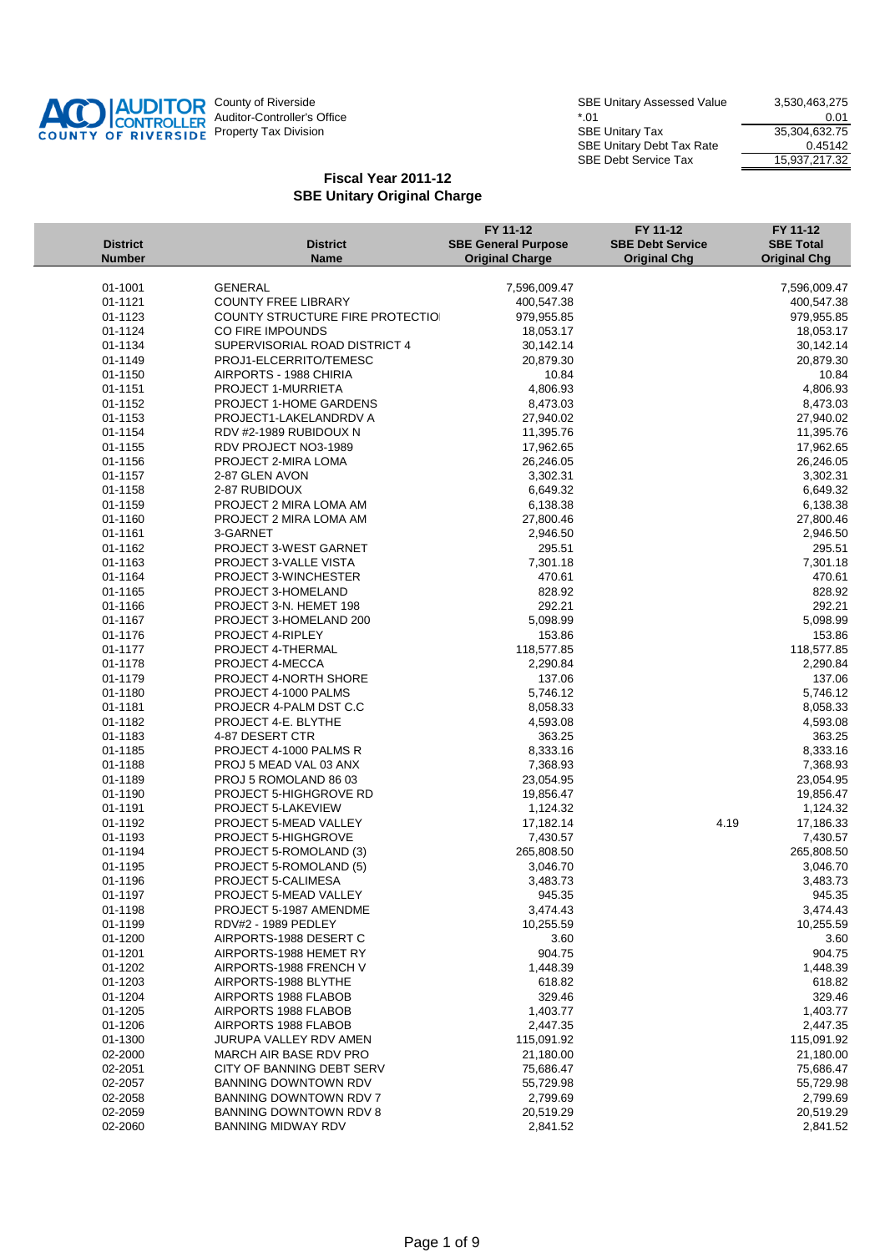

SBE Unitary Assessed Value 3,530,463,275 Auditor-Controller's Office the controller's Office the controller's Office the controller's Office the controller's Office the controller's Office the controller's Office the controller's Office the controller's Office th Property Tax Division Number of Same Superior SBE Unitary Tax 35,304,632.75 SBE Unitary Debt Tax Rate 0.45142 SBE Debt Service Tax 15,937,217.32

| <b>District</b><br><b>Number</b> | <b>District</b><br><b>Name</b>                          | FY 11-12<br><b>SBE General Purpose</b><br><b>Original Charge</b> | FY 11-12<br><b>SBE Debt Service</b><br><b>Original Chg</b> | FY 11-12<br><b>SBE Total</b><br><b>Original Chg</b> |
|----------------------------------|---------------------------------------------------------|------------------------------------------------------------------|------------------------------------------------------------|-----------------------------------------------------|
|                                  |                                                         |                                                                  |                                                            |                                                     |
| 01-1001                          | <b>GENERAL</b><br>COUNTY FREE LIBRARY                   | 7,596,009.47                                                     |                                                            | 7,596,009.47                                        |
| 01-1121                          |                                                         | 400,547.38                                                       |                                                            | 400,547.38                                          |
| 01-1123                          | COUNTY STRUCTURE FIRE PROTECTIO                         | 979,955.85                                                       |                                                            | 979,955.85                                          |
| 01-1124                          | CO FIRE IMPOUNDS                                        | 18,053.17<br>30,142.14                                           |                                                            | 18,053.17                                           |
| 01-1134<br>01-1149               | SUPERVISORIAL ROAD DISTRICT 4<br>PROJ1-ELCERRITO/TEMESC | 20,879.30                                                        |                                                            | 30,142.14<br>20,879.30                              |
| 01-1150                          | AIRPORTS - 1988 CHIRIA                                  | 10.84                                                            |                                                            | 10.84                                               |
| 01-1151                          | PROJECT 1-MURRIETA                                      | 4,806.93                                                         |                                                            | 4,806.93                                            |
| 01-1152                          | <b>PROJECT 1-HOME GARDENS</b>                           | 8,473.03                                                         |                                                            | 8,473.03                                            |
| 01-1153                          | PROJECT1-LAKELANDRDV A                                  | 27,940.02                                                        |                                                            | 27,940.02                                           |
| 01-1154                          | RDV #2-1989 RUBIDOUX N                                  | 11,395.76                                                        |                                                            | 11,395.76                                           |
| 01-1155                          | RDV PROJECT NO3-1989                                    | 17,962.65                                                        |                                                            | 17,962.65                                           |
| 01-1156                          | PROJECT 2-MIRA LOMA                                     | 26,246.05                                                        |                                                            | 26,246.05                                           |
| 01-1157                          | 2-87 GLEN AVON                                          | 3,302.31                                                         |                                                            | 3,302.31                                            |
| 01-1158                          | 2-87 RUBIDOUX                                           | 6,649.32                                                         |                                                            | 6,649.32                                            |
| 01-1159                          | PROJECT 2 MIRA LOMA AM                                  | 6,138.38                                                         |                                                            | 6,138.38                                            |
| 01-1160                          | PROJECT 2 MIRA LOMA AM                                  | 27,800.46                                                        |                                                            | 27,800.46                                           |
| 01-1161                          | 3-GARNET                                                | 2,946.50                                                         |                                                            | 2,946.50                                            |
| 01-1162                          | PROJECT 3-WEST GARNET                                   | 295.51                                                           |                                                            | 295.51                                              |
| 01-1163                          | PROJECT 3-VALLE VISTA                                   | 7,301.18                                                         |                                                            | 7,301.18                                            |
| 01-1164                          | PROJECT 3-WINCHESTER                                    | 470.61                                                           |                                                            | 470.61                                              |
| 01-1165                          | PROJECT 3-HOMELAND                                      | 828.92                                                           |                                                            | 828.92                                              |
| 01-1166                          | PROJECT 3-N. HEMET 198                                  | 292.21                                                           |                                                            | 292.21                                              |
| 01-1167                          | PROJECT 3-HOMELAND 200                                  | 5,098.99                                                         |                                                            | 5,098.99                                            |
| 01-1176                          | PROJECT 4-RIPLEY                                        | 153.86                                                           |                                                            | 153.86                                              |
| 01-1177                          | PROJECT 4-THERMAL                                       | 118,577.85                                                       |                                                            | 118,577.85                                          |
| 01-1178                          | PROJECT 4-MECCA                                         | 2,290.84                                                         |                                                            | 2,290.84                                            |
| 01-1179                          | <b>PROJECT 4-NORTH SHORE</b>                            | 137.06                                                           |                                                            | 137.06                                              |
| 01-1180                          | PROJECT 4-1000 PALMS                                    | 5,746.12                                                         |                                                            | 5,746.12                                            |
| 01-1181                          | PROJECR 4-PALM DST C.C                                  | 8,058.33                                                         |                                                            | 8,058.33                                            |
| 01-1182                          | PROJECT 4-E. BLYTHE                                     | 4,593.08                                                         |                                                            | 4,593.08                                            |
| 01-1183                          | 4-87 DESERT CTR                                         | 363.25                                                           |                                                            | 363.25                                              |
| 01-1185                          | PROJECT 4-1000 PALMS R                                  | 8,333.16                                                         |                                                            | 8,333.16                                            |
| 01-1188                          | PROJ 5 MEAD VAL 03 ANX                                  | 7,368.93                                                         |                                                            | 7,368.93                                            |
| 01-1189                          | PROJ 5 ROMOLAND 86 03                                   | 23,054.95                                                        |                                                            | 23,054.95                                           |
| 01-1190                          | <b>PROJECT 5-HIGHGROVE RD</b>                           | 19,856.47                                                        |                                                            | 19,856.47                                           |
| 01-1191                          | PROJECT 5-LAKEVIEW                                      | 1,124.32                                                         |                                                            | 1,124.32                                            |
| 01-1192                          | PROJECT 5-MEAD VALLEY                                   | 17,182.14                                                        |                                                            | 4.19<br>17,186.33                                   |
| 01-1193                          | PROJECT 5-HIGHGROVE                                     | 7,430.57                                                         |                                                            | 7,430.57                                            |
| 01-1194                          | PROJECT 5-ROMOLAND (3)                                  | 265,808.50                                                       |                                                            | 265,808.50                                          |
| 01-1195                          | PROJECT 5-ROMOLAND (5)                                  | 3,046.70                                                         |                                                            | 3,046.70                                            |
| 01-1196<br>01-1197               | PROJECT 5-CALIMESA<br>PROJECT 5-MEAD VALLEY             | 3,483.73<br>945.35                                               |                                                            | 3,483.73<br>945.35                                  |
| 01-1198                          | PROJECT 5-1987 AMENDME                                  | 3,474.43                                                         |                                                            | 3,474.43                                            |
| 01-1199                          | <b>RDV#2 - 1989 PEDLEY</b>                              | 10,255.59                                                        |                                                            | 10,255.59                                           |
| 01-1200                          | AIRPORTS-1988 DESERT C                                  | 3.60                                                             |                                                            | 3.60                                                |
| 01-1201                          | AIRPORTS-1988 HEMET RY                                  | 904.75                                                           |                                                            | 904.75                                              |
| 01-1202                          | AIRPORTS-1988 FRENCH V                                  | 1,448.39                                                         |                                                            | 1,448.39                                            |
| 01-1203                          | AIRPORTS-1988 BLYTHE                                    | 618.82                                                           |                                                            | 618.82                                              |
| 01-1204                          | AIRPORTS 1988 FLABOB                                    | 329.46                                                           |                                                            | 329.46                                              |
| 01-1205                          | AIRPORTS 1988 FLABOB                                    | 1,403.77                                                         |                                                            | 1,403.77                                            |
| 01-1206                          | AIRPORTS 1988 FLABOB                                    | 2,447.35                                                         |                                                            | 2,447.35                                            |
| 01-1300                          | JURUPA VALLEY RDV AMEN                                  | 115,091.92                                                       |                                                            | 115,091.92                                          |
| 02-2000                          | MARCH AIR BASE RDV PRO                                  | 21,180.00                                                        |                                                            | 21,180.00                                           |
| 02-2051                          | CITY OF BANNING DEBT SERV                               | 75,686.47                                                        |                                                            | 75,686.47                                           |
| 02-2057                          | <b>BANNING DOWNTOWN RDV</b>                             | 55,729.98                                                        |                                                            | 55,729.98                                           |
| 02-2058                          | BANNING DOWNTOWN RDV 7                                  | 2,799.69                                                         |                                                            | 2,799.69                                            |
| 02-2059                          | <b>BANNING DOWNTOWN RDV 8</b>                           | 20,519.29                                                        |                                                            | 20,519.29                                           |
| 02-2060                          | <b>BANNING MIDWAY RDV</b>                               | 2,841.52                                                         |                                                            | 2,841.52                                            |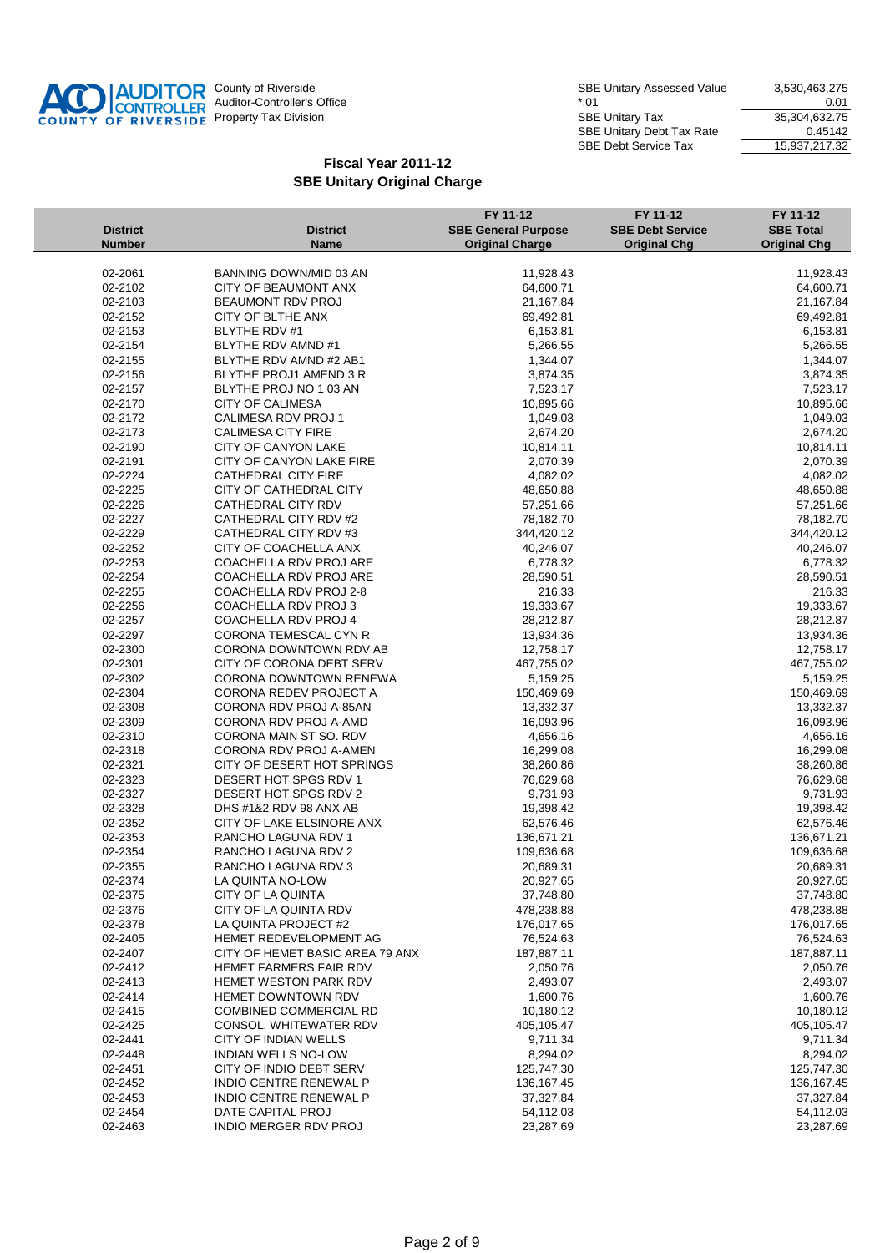

| <b>District</b><br><b>Number</b> | <b>District</b><br><b>Name</b>        | FY 11-12<br><b>SBE General Purpose</b><br><b>Original Charge</b> | FY 11-12<br><b>SBE Debt Service</b> | FY 11-12<br><b>SBE Total</b><br><b>Original Chg</b> |
|----------------------------------|---------------------------------------|------------------------------------------------------------------|-------------------------------------|-----------------------------------------------------|
|                                  |                                       |                                                                  | <b>Original Chg</b>                 |                                                     |
| 02-2061                          | BANNING DOWN/MID 03 AN                | 11,928.43                                                        |                                     | 11,928.43                                           |
| 02-2102                          | CITY OF BEAUMONT ANX                  | 64,600.71                                                        |                                     | 64,600.71                                           |
| 02-2103                          | <b>BEAUMONT RDV PROJ</b>              | 21,167.84                                                        |                                     | 21,167.84                                           |
| 02-2152                          | CITY OF BLTHE ANX                     | 69,492.81                                                        |                                     | 69,492.81                                           |
| 02-2153                          | <b>BLYTHE RDV #1</b>                  | 6,153.81                                                         |                                     | 6,153.81                                            |
| 02-2154                          | BLYTHE RDV AMND #1                    | 5,266.55                                                         |                                     | 5,266.55                                            |
| 02-2155                          | BLYTHE RDV AMND #2 AB1                | 1,344.07                                                         |                                     | 1,344.07                                            |
| 02-2156                          | BLYTHE PROJ1 AMEND 3 R                | 3,874.35                                                         |                                     | 3,874.35                                            |
| 02-2157                          | BLYTHE PROJ NO 1 03 AN                | 7,523.17                                                         |                                     | 7,523.17                                            |
| 02-2170                          | <b>CITY OF CALIMESA</b>               | 10,895.66                                                        |                                     | 10,895.66                                           |
| 02-2172                          | CALIMESA RDV PROJ 1                   | 1,049.03                                                         |                                     | 1,049.03                                            |
| 02-2173                          | <b>CALIMESA CITY FIRE</b>             | 2,674.20                                                         |                                     | 2,674.20                                            |
| 02-2190                          | CITY OF CANYON LAKE                   | 10,814.11                                                        |                                     | 10,814.11                                           |
| 02-2191                          | CITY OF CANYON LAKE FIRE              | 2,070.39                                                         |                                     | 2,070.39                                            |
| 02-2224                          | CATHEDRAL CITY FIRE                   | 4,082.02                                                         |                                     | 4,082.02                                            |
| 02-2225                          | CITY OF CATHEDRAL CITY                | 48,650.88                                                        |                                     | 48,650.88                                           |
| 02-2226                          | <b>CATHEDRAL CITY RDV</b>             | 57,251.66                                                        |                                     | 57,251.66                                           |
| 02-2227                          | CATHEDRAL CITY RDV #2                 | 78,182.70                                                        |                                     | 78,182.70                                           |
| 02-2229                          | CATHEDRAL CITY RDV #3                 | 344,420.12                                                       |                                     | 344,420.12                                          |
| 02-2252                          | CITY OF COACHELLA ANX                 | 40,246.07                                                        |                                     | 40,246.07                                           |
| 02-2253                          | COACHELLA RDV PROJ ARE                | 6,778.32                                                         |                                     | 6,778.32                                            |
| 02-2254                          | COACHELLA RDV PROJ ARE                | 28,590.51                                                        |                                     | 28,590.51                                           |
| 02-2255                          | COACHELLA RDV PROJ 2-8                | 216.33                                                           |                                     | 216.33                                              |
| 02-2256                          | COACHELLA RDV PROJ 3                  | 19,333.67                                                        |                                     | 19,333.67                                           |
| 02-2257                          | COACHELLA RDV PROJ 4                  | 28,212.87                                                        |                                     | 28,212.87                                           |
| 02-2297                          | CORONA TEMESCAL CYN R                 | 13,934.36                                                        |                                     | 13,934.36                                           |
| 02-2300                          | CORONA DOWNTOWN RDV AB                | 12,758.17                                                        |                                     | 12,758.17                                           |
| 02-2301                          | CITY OF CORONA DEBT SERV              | 467,755.02                                                       |                                     | 467,755.02                                          |
| 02-2302                          | CORONA DOWNTOWN RENEWA                | 5,159.25                                                         |                                     | 5,159.25                                            |
| 02-2304                          | CORONA REDEV PROJECT A                | 150,469.69                                                       |                                     | 150,469.69                                          |
| 02-2308                          | CORONA RDV PROJ A-85AN                | 13,332.37                                                        |                                     | 13,332.37                                           |
| 02-2309                          | CORONA RDV PROJ A-AMD                 | 16,093.96                                                        |                                     | 16,093.96                                           |
| 02-2310                          | CORONA MAIN ST SO. RDV                | 4,656.16                                                         |                                     | 4,656.16                                            |
| 02-2318                          | CORONA RDV PROJ A-AMEN                | 16,299.08                                                        |                                     | 16,299.08                                           |
| 02-2321                          | CITY OF DESERT HOT SPRINGS            | 38,260.86                                                        |                                     | 38,260.86                                           |
| 02-2323                          | DESERT HOT SPGS RDV 1                 | 76,629.68                                                        |                                     | 76,629.68                                           |
| 02-2327                          | DESERT HOT SPGS RDV 2                 | 9,731.93                                                         |                                     | 9,731.93                                            |
| 02-2328                          | DHS #1&2 RDV 98 ANX AB                | 19,398.42<br>62,576.46                                           |                                     | 19,398.42                                           |
| 02-2352                          | CITY OF LAKE ELSINORE ANX             |                                                                  |                                     | 62,576.46                                           |
| 02-2353                          | RANCHO LAGUNA RDV 1                   | 136,671.21                                                       |                                     | 136,671.21                                          |
| 02-2354<br>02-2355               | RANCHO LAGUNA RDV 2                   | 109,636.68<br>20,689.31                                          |                                     | 109,636.68<br>20,689.31                             |
| 02-2374                          | RANCHO LAGUNA RDV 3                   | 20,927.65                                                        |                                     | 20,927.65                                           |
|                                  | LA QUINTA NO-LOW<br>CITY OF LA QUINTA |                                                                  |                                     | 37,748.80                                           |
| 02-2375<br>02-2376               | CITY OF LA QUINTA RDV                 | 37,748.80<br>478,238.88                                          |                                     | 478,238.88                                          |
| 02-2378                          | LA QUINTA PROJECT #2                  | 176,017.65                                                       |                                     | 176,017.65                                          |
| 02-2405                          | HEMET REDEVELOPMENT AG                | 76,524.63                                                        |                                     | 76,524.63                                           |
| 02-2407                          | CITY OF HEMET BASIC AREA 79 ANX       | 187,887.11                                                       |                                     | 187,887.11                                          |
| 02-2412                          | <b>HEMET FARMERS FAIR RDV</b>         | 2,050.76                                                         |                                     | 2,050.76                                            |
| 02-2413                          | <b>HEMET WESTON PARK RDV</b>          | 2,493.07                                                         |                                     | 2,493.07                                            |
| 02-2414                          | <b>HEMET DOWNTOWN RDV</b>             | 1,600.76                                                         |                                     | 1,600.76                                            |
| 02-2415                          | <b>COMBINED COMMERCIAL RD</b>         | 10,180.12                                                        |                                     | 10,180.12                                           |
| 02-2425                          | CONSOL. WHITEWATER RDV                | 405,105.47                                                       |                                     | 405,105.47                                          |
| 02-2441                          | CITY OF INDIAN WELLS                  | 9,711.34                                                         |                                     | 9,711.34                                            |
| 02-2448                          | <b>INDIAN WELLS NO-LOW</b>            | 8.294.02                                                         |                                     | 8,294.02                                            |
| 02-2451                          | CITY OF INDIO DEBT SERV               | 125,747.30                                                       |                                     | 125,747.30                                          |
| 02-2452                          | INDIO CENTRE RENEWAL P                | 136,167.45                                                       |                                     | 136, 167. 45                                        |
| 02-2453                          | INDIO CENTRE RENEWAL P                | 37,327.84                                                        |                                     | 37,327.84                                           |
| 02-2454                          | DATE CAPITAL PROJ                     | 54,112.03                                                        |                                     | 54,112.03                                           |
| 02-2463                          | <b>INDIO MERGER RDV PROJ</b>          | 23,287.69                                                        |                                     | 23,287.69                                           |
|                                  |                                       |                                                                  |                                     |                                                     |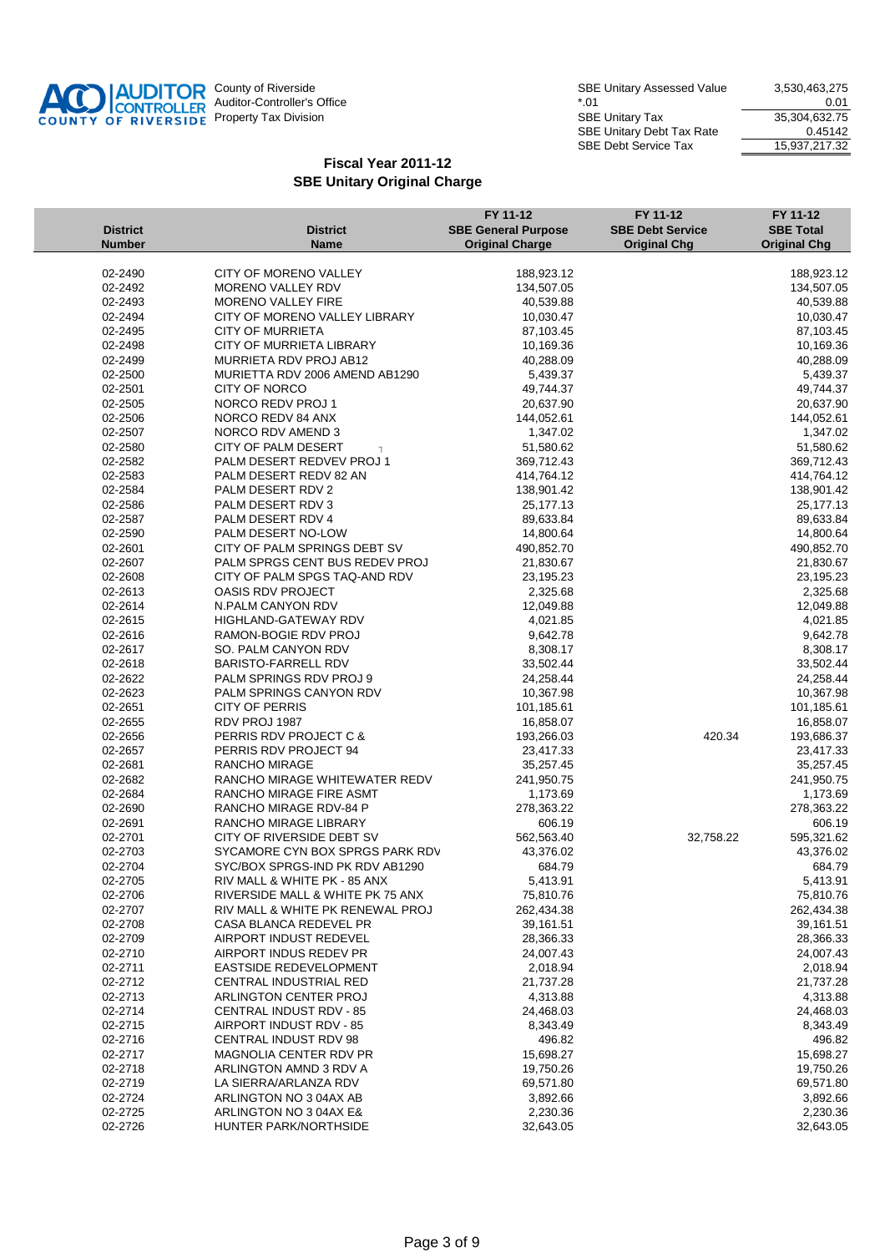

| <b>District</b><br><b>Number</b> | <b>District</b><br><b>Name</b>                                       | FY 11-12<br><b>SBE General Purpose</b><br><b>Original Charge</b> | FY 11-12<br><b>SBE Debt Service</b><br><b>Original Chg</b> | FY 11-12<br><b>SBE Total</b><br><b>Original Chg</b> |
|----------------------------------|----------------------------------------------------------------------|------------------------------------------------------------------|------------------------------------------------------------|-----------------------------------------------------|
|                                  |                                                                      |                                                                  |                                                            |                                                     |
| 02-2490                          | CITY OF MORENO VALLEY                                                | 188,923.12                                                       |                                                            | 188,923.12                                          |
| 02-2492                          | MORENO VALLEY RDV                                                    | 134,507.05                                                       |                                                            | 134,507.05                                          |
| 02-2493                          | <b>MORENO VALLEY FIRE</b>                                            | 40,539.88                                                        |                                                            | 40,539.88                                           |
| 02-2494                          | CITY OF MORENO VALLEY LIBRARY                                        | 10,030.47                                                        |                                                            | 10,030.47                                           |
| 02-2495                          | <b>CITY OF MURRIETA</b>                                              | 87,103.45                                                        |                                                            | 87,103.45                                           |
| 02-2498                          | CITY OF MURRIETA LIBRARY                                             | 10,169.36                                                        |                                                            | 10,169.36                                           |
| 02-2499                          | MURRIETA RDV PROJ AB12                                               | 40,288.09                                                        |                                                            | 40,288.09                                           |
| 02-2500                          | MURIETTA RDV 2006 AMEND AB1290                                       | 5,439.37                                                         |                                                            | 5,439.37                                            |
| 02-2501                          | <b>CITY OF NORCO</b>                                                 | 49,744.37                                                        |                                                            | 49,744.37                                           |
| 02-2505                          | NORCO REDV PROJ 1                                                    | 20,637.90                                                        |                                                            | 20,637.90                                           |
| 02-2506                          | NORCO REDV 84 ANX                                                    | 144,052.61                                                       |                                                            | 144,052.61                                          |
| 02-2507                          | NORCO RDV AMEND 3                                                    | 1,347.02                                                         |                                                            | 1,347.02                                            |
| 02-2580                          | CITY OF PALM DESERT<br>$\overline{1}$                                | 51,580.62                                                        |                                                            | 51,580.62                                           |
| 02-2582                          | PALM DESERT REDVEV PROJ 1                                            | 369,712.43                                                       |                                                            | 369,712.43                                          |
| 02-2583                          | PALM DESERT REDV 82 AN                                               | 414,764.12                                                       |                                                            | 414,764.12                                          |
| 02-2584                          | PALM DESERT RDV 2                                                    | 138,901.42                                                       |                                                            | 138,901.42                                          |
| 02-2586                          | PALM DESERT RDV 3                                                    | 25,177.13                                                        |                                                            | 25,177.13                                           |
| 02-2587                          | PALM DESERT RDV 4                                                    | 89,633.84                                                        |                                                            | 89,633.84                                           |
| 02-2590                          | PALM DESERT NO-LOW                                                   | 14,800.64                                                        |                                                            | 14,800.64                                           |
| 02-2601                          | CITY OF PALM SPRINGS DEBT SV                                         | 490,852.70                                                       |                                                            | 490,852.70                                          |
| 02-2607                          | PALM SPRGS CENT BUS REDEV PROJ                                       | 21,830.67                                                        |                                                            | 21,830.67                                           |
| 02-2608                          | CITY OF PALM SPGS TAQ-AND RDV                                        | 23,195.23                                                        |                                                            | 23,195.23                                           |
| 02-2613                          | OASIS RDV PROJECT                                                    | 2,325.68                                                         |                                                            | 2,325.68                                            |
| 02-2614                          | N.PALM CANYON RDV                                                    | 12,049.88                                                        |                                                            | 12,049.88                                           |
| 02-2615                          | HIGHLAND-GATEWAY RDV                                                 | 4,021.85                                                         |                                                            | 4,021.85                                            |
| 02-2616                          | RAMON-BOGIE RDV PROJ                                                 | 9,642.78                                                         |                                                            | 9,642.78                                            |
| 02-2617                          | SO. PALM CANYON RDV                                                  | 8,308.17                                                         |                                                            | 8,308.17                                            |
| 02-2618                          | <b>BARISTO-FARRELL RDV</b>                                           | 33,502.44                                                        |                                                            | 33,502.44                                           |
| 02-2622                          | PALM SPRINGS RDV PROJ 9                                              | 24,258.44                                                        |                                                            | 24,258.44                                           |
| 02-2623                          | PALM SPRINGS CANYON RDV                                              | 10,367.98                                                        |                                                            | 10,367.98                                           |
| 02-2651                          | <b>CITY OF PERRIS</b>                                                | 101,185.61                                                       |                                                            | 101,185.61                                          |
| 02-2655                          | RDV PROJ 1987                                                        | 16,858.07                                                        |                                                            | 16,858.07                                           |
| 02-2656                          | PERRIS RDV PROJECT C &                                               | 193,266.03                                                       | 420.34                                                     | 193,686.37                                          |
| 02-2657                          | PERRIS RDV PROJECT 94                                                | 23,417.33                                                        |                                                            | 23,417.33                                           |
| 02-2681                          | RANCHO MIRAGE                                                        | 35,257.45                                                        |                                                            | 35,257.45                                           |
| 02-2682                          | RANCHO MIRAGE WHITEWATER REDV                                        | 241,950.75                                                       |                                                            | 241,950.75                                          |
| 02-2684                          | RANCHO MIRAGE FIRE ASMT                                              | 1,173.69                                                         |                                                            | 1,173.69                                            |
| 02-2690                          | RANCHO MIRAGE RDV-84 P                                               | 278,363.22                                                       |                                                            | 278,363.22                                          |
| 02-2691                          | <b>RANCHO MIRAGE LIBRARY</b>                                         | 606.19                                                           |                                                            | 606.19                                              |
| 02-2701                          | CITY OF RIVERSIDE DEBT SV                                            | 562,563.40                                                       | 32,758.22                                                  | 595,321.62                                          |
| 02-2703                          | SYCAMORE CYN BOX SPRGS PARK RDV                                      | 43,376.02                                                        |                                                            | 43,376.02                                           |
| 02-2704                          | SYC/BOX SPRGS-IND PK RDV AB1290                                      | 684.79                                                           |                                                            | 684.79                                              |
| 02-2705                          | RIV MALL & WHITE PK - 85 ANX                                         | 5,413.91                                                         |                                                            | 5,413.91                                            |
| 02-2706                          | RIVERSIDE MALL & WHITE PK 75 ANX<br>RIV MALL & WHITE PK RENEWAL PROJ | 75,810.76                                                        |                                                            | 75,810.76                                           |
| 02-2707                          |                                                                      | 262,434.38                                                       |                                                            | 262,434.38                                          |
| 02-2708                          | CASA BLANCA REDEVEL PR                                               | 39,161.51                                                        |                                                            | 39,161.51                                           |
| 02-2709                          | AIRPORT INDUST REDEVEL                                               | 28,366.33                                                        |                                                            | 28,366.33                                           |
| 02-2710                          | AIRPORT INDUS REDEV PR                                               | 24,007.43                                                        |                                                            | 24,007.43                                           |
| 02-2711                          | EASTSIDE REDEVELOPMENT<br>CENTRAL INDUSTRIAL RED                     | 2,018.94                                                         |                                                            | 2,018.94                                            |
| 02-2712                          |                                                                      | 21,737.28                                                        |                                                            | 21,737.28                                           |
| 02-2713                          | ARLINGTON CENTER PROJ                                                | 4,313.88                                                         |                                                            | 4,313.88                                            |
| 02-2714<br>02-2715               | <b>CENTRAL INDUST RDV - 85</b><br>AIRPORT INDUST RDV - 85            | 24,468.03                                                        |                                                            | 24,468.03                                           |
| 02-2716                          | CENTRAL INDUST RDV 98                                                | 8,343.49<br>496.82                                               |                                                            | 8,343.49                                            |
| 02-2717                          | MAGNOLIA CENTER RDV PR                                               | 15,698.27                                                        |                                                            | 496.82<br>15,698.27                                 |
| 02-2718                          | ARLINGTON AMND 3 RDV A                                               | 19,750.26                                                        |                                                            | 19,750.26                                           |
| 02-2719                          | LA SIERRA/ARLANZA RDV                                                | 69,571.80                                                        |                                                            | 69,571.80                                           |
| 02-2724                          | ARLINGTON NO 3 04AX AB                                               | 3,892.66                                                         |                                                            | 3,892.66                                            |
| 02-2725                          | ARLINGTON NO 3 04AX E&                                               | 2,230.36                                                         |                                                            | 2,230.36                                            |
| 02-2726                          | HUNTER PARK/NORTHSIDE                                                | 32,643.05                                                        |                                                            | 32,643.05                                           |
|                                  |                                                                      |                                                                  |                                                            |                                                     |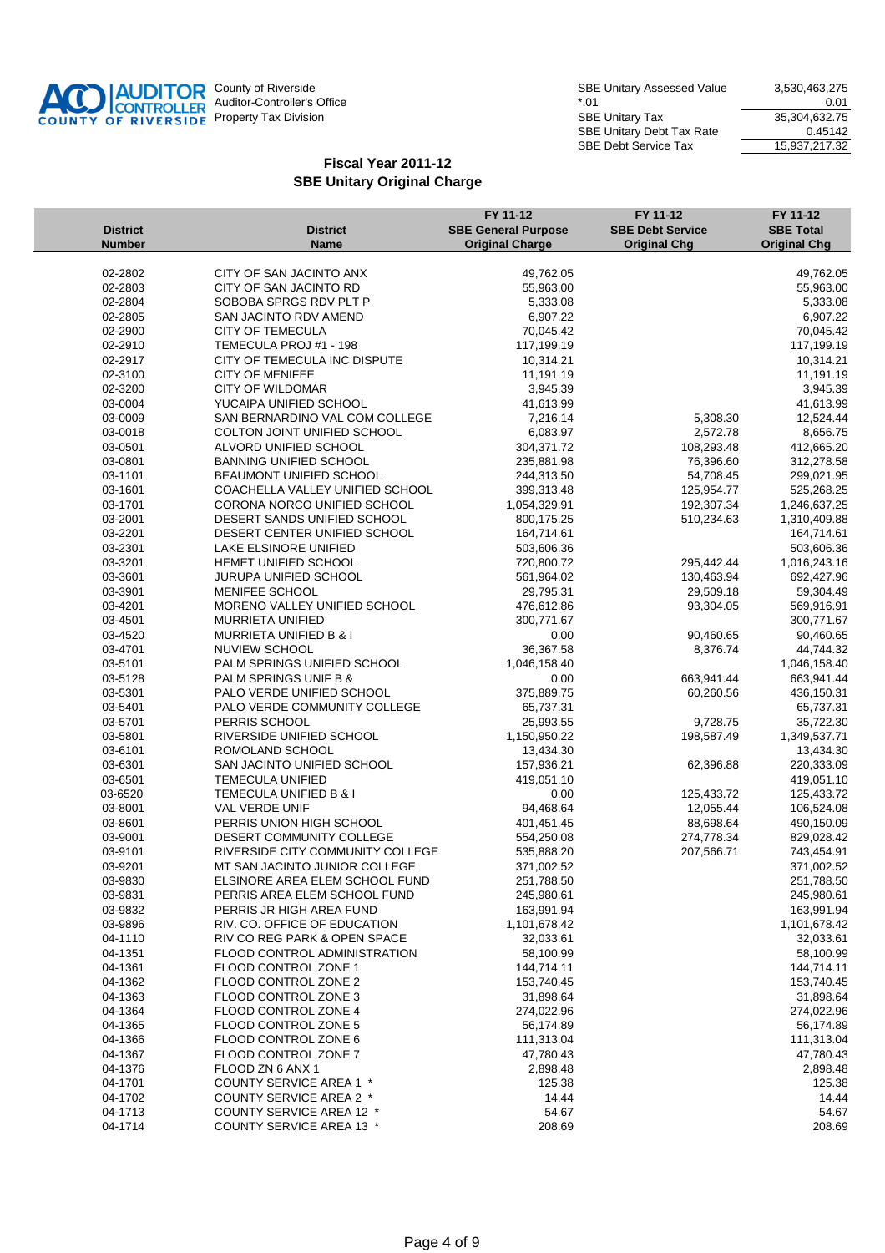

| <b>District</b><br><b>Number</b> | <b>District</b><br><b>Name</b>                         | FY 11-12<br><b>SBE General Purpose</b><br><b>Original Charge</b> | FY 11-12<br><b>SBE Debt Service</b><br><b>Original Chg</b> | FY 11-12<br><b>SBE Total</b><br><b>Original Chg</b> |
|----------------------------------|--------------------------------------------------------|------------------------------------------------------------------|------------------------------------------------------------|-----------------------------------------------------|
|                                  |                                                        |                                                                  |                                                            |                                                     |
| 02-2802<br>02-2803               | CITY OF SAN JACINTO ANX<br>CITY OF SAN JACINTO RD      | 49,762.05<br>55,963.00                                           |                                                            | 49,762.05                                           |
| 02-2804                          | SOBOBA SPRGS RDV PLT P                                 |                                                                  |                                                            | 55,963.00                                           |
| 02-2805                          | SAN JACINTO RDV AMEND                                  | 5,333.08<br>6,907.22                                             |                                                            | 5,333.08<br>6,907.22                                |
| 02-2900                          | <b>CITY OF TEMECULA</b>                                | 70,045.42                                                        |                                                            | 70,045.42                                           |
|                                  |                                                        |                                                                  |                                                            |                                                     |
| 02-2910<br>02-2917               | TEMECULA PROJ #1 - 198<br>CITY OF TEMECULA INC DISPUTE | 117,199.19<br>10,314.21                                          |                                                            | 117,199.19<br>10,314.21                             |
| 02-3100                          | <b>CITY OF MENIFEE</b>                                 | 11,191.19                                                        |                                                            | 11,191.19                                           |
| 02-3200                          | <b>CITY OF WILDOMAR</b>                                | 3,945.39                                                         |                                                            | 3,945.39                                            |
| 03-0004                          | YUCAIPA UNIFIED SCHOOL                                 | 41,613.99                                                        |                                                            | 41,613.99                                           |
| 03-0009                          | SAN BERNARDINO VAL COM COLLEGE                         | 7,216.14                                                         | 5,308.30                                                   | 12,524.44                                           |
| 03-0018                          | COLTON JOINT UNIFIED SCHOOL                            | 6,083.97                                                         | 2,572.78                                                   | 8,656.75                                            |
| 03-0501                          | ALVORD UNIFIED SCHOOL                                  | 304,371.72                                                       | 108,293.48                                                 | 412,665.20                                          |
| 03-0801                          | BANNING UNIFIED SCHOOL                                 | 235,881.98                                                       | 76,396.60                                                  | 312,278.58                                          |
| 03-1101                          | <b>BEAUMONT UNIFIED SCHOOL</b>                         | 244,313.50                                                       | 54,708.45                                                  | 299,021.95                                          |
| 03-1601                          | COACHELLA VALLEY UNIFIED SCHOOL                        | 399,313.48                                                       | 125,954.77                                                 | 525,268.25                                          |
| 03-1701                          | CORONA NORCO UNIFIED SCHOOL                            | 1,054,329.91                                                     | 192,307.34                                                 | 1,246,637.25                                        |
| 03-2001                          | DESERT SANDS UNIFIED SCHOOL                            | 800,175.25                                                       | 510,234.63                                                 | 1,310,409.88                                        |
| 03-2201                          | DESERT CENTER UNIFIED SCHOOL                           | 164,714.61                                                       |                                                            | 164,714.61                                          |
| 03-2301                          | LAKE ELSINORE UNIFIED                                  | 503,606.36                                                       |                                                            | 503,606.36                                          |
| 03-3201                          | HEMET UNIFIED SCHOOL                                   | 720,800.72                                                       | 295,442.44                                                 | 1,016,243.16                                        |
| 03-3601                          | JURUPA UNIFIED SCHOOL                                  | 561,964.02                                                       | 130,463.94                                                 | 692,427.96                                          |
| 03-3901                          | MENIFEE SCHOOL                                         | 29,795.31                                                        | 29,509.18                                                  | 59,304.49                                           |
| 03-4201                          | MORENO VALLEY UNIFIED SCHOOL                           | 476,612.86                                                       | 93,304.05                                                  | 569,916.91                                          |
| 03-4501                          | MURRIETA UNIFIED                                       | 300,771.67                                                       |                                                            | 300,771.67                                          |
| 03-4520                          | <b>MURRIETA UNIFIED B &amp; I</b>                      | 0.00                                                             | 90,460.65                                                  | 90,460.65                                           |
| 03-4701                          | NUVIEW SCHOOL                                          | 36,367.58                                                        | 8,376.74                                                   | 44,744.32                                           |
| 03-5101                          | PALM SPRINGS UNIFIED SCHOOL                            | 1,046,158.40                                                     |                                                            | 1,046,158.40                                        |
| 03-5128                          | PALM SPRINGS UNIF B &                                  | 0.00                                                             | 663,941.44                                                 | 663,941.44                                          |
| 03-5301                          | PALO VERDE UNIFIED SCHOOL                              | 375,889.75                                                       | 60,260.56                                                  | 436,150.31                                          |
| 03-5401                          | PALO VERDE COMMUNITY COLLEGE                           | 65,737.31                                                        |                                                            | 65,737.31                                           |
| 03-5701                          | PERRIS SCHOOL                                          | 25,993.55                                                        | 9,728.75                                                   | 35,722.30                                           |
| 03-5801                          | RIVERSIDE UNIFIED SCHOOL                               | 1,150,950.22                                                     | 198,587.49                                                 | 1,349,537.71                                        |
| 03-6101                          | ROMOLAND SCHOOL                                        | 13,434.30                                                        |                                                            | 13,434.30                                           |
| 03-6301                          | SAN JACINTO UNIFIED SCHOOL                             | 157,936.21                                                       | 62,396.88                                                  | 220,333.09                                          |
| 03-6501                          | TEMECULA UNIFIED                                       | 419,051.10                                                       |                                                            | 419,051.10                                          |
| 03-6520                          | TEMECULA UNIFIED B & I                                 | 0.00                                                             | 125,433.72                                                 | 125,433.72                                          |
| 03-8001                          | VAL VERDE UNIF                                         | 94,468.64                                                        | 12,055.44                                                  | 106,524.08                                          |
| 03-8601                          | PERRIS UNION HIGH SCHOOL                               | 401,451.45                                                       | 88,698.64                                                  | 490,150.09                                          |
| 03-9001                          | DESERT COMMUNITY COLLEGE                               | 554,250.08                                                       | 274,778.34                                                 | 829,028.42                                          |
| 03-9101                          | RIVERSIDE CITY COMMUNITY COLLEGE                       | 535,888.20                                                       | 207,566.71                                                 | 743,454.91                                          |
| 03-9201                          | MT SAN JACINTO JUNIOR COLLEGE                          | 371,002.52                                                       |                                                            | 371,002.52                                          |
| 03-9830                          | ELSINORE AREA ELEM SCHOOL FUND                         | 251,788.50                                                       |                                                            | 251,788.50                                          |
| 03-9831                          | PERRIS AREA ELEM SCHOOL FUND                           | 245,980.61                                                       |                                                            | 245,980.61                                          |
| 03-9832                          | PERRIS JR HIGH AREA FUND                               | 163,991.94                                                       |                                                            | 163,991.94                                          |
| 03-9896                          | RIV. CO. OFFICE OF EDUCATION                           | 1,101,678.42                                                     |                                                            | 1,101,678.42                                        |
| 04-1110                          | RIV CO REG PARK & OPEN SPACE                           | 32,033.61                                                        |                                                            | 32,033.61                                           |
| 04-1351                          | FLOOD CONTROL ADMINISTRATION                           | 58,100.99                                                        |                                                            | 58,100.99                                           |
| 04-1361                          | FLOOD CONTROL ZONE 1                                   | 144,714.11                                                       |                                                            | 144,714.11                                          |
| 04-1362                          | FLOOD CONTROL ZONE 2                                   | 153,740.45                                                       |                                                            | 153,740.45                                          |
| 04-1363                          | FLOOD CONTROL ZONE 3                                   | 31,898.64                                                        |                                                            | 31,898.64                                           |
| 04-1364                          | FLOOD CONTROL ZONE 4                                   | 274,022.96                                                       |                                                            | 274,022.96                                          |
| 04-1365                          | FLOOD CONTROL ZONE 5                                   | 56,174.89                                                        |                                                            | 56,174.89                                           |
| 04-1366                          | FLOOD CONTROL ZONE 6                                   | 111,313.04                                                       |                                                            | 111,313.04                                          |
| 04-1367                          | FLOOD CONTROL ZONE 7                                   | 47,780.43                                                        |                                                            | 47,780.43                                           |
| 04-1376                          | FLOOD ZN 6 ANX 1                                       | 2,898.48                                                         |                                                            | 2,898.48                                            |
| 04-1701                          | COUNTY SERVICE AREA 1 *                                | 125.38                                                           |                                                            | 125.38                                              |
| 04-1702                          | COUNTY SERVICE AREA 2 *                                | 14.44                                                            |                                                            | 14.44                                               |
| 04-1713                          | COUNTY SERVICE AREA 12 *                               | 54.67                                                            |                                                            | 54.67                                               |
| 04-1714                          | <b>COUNTY SERVICE AREA 13 *</b>                        | 208.69                                                           |                                                            | 208.69                                              |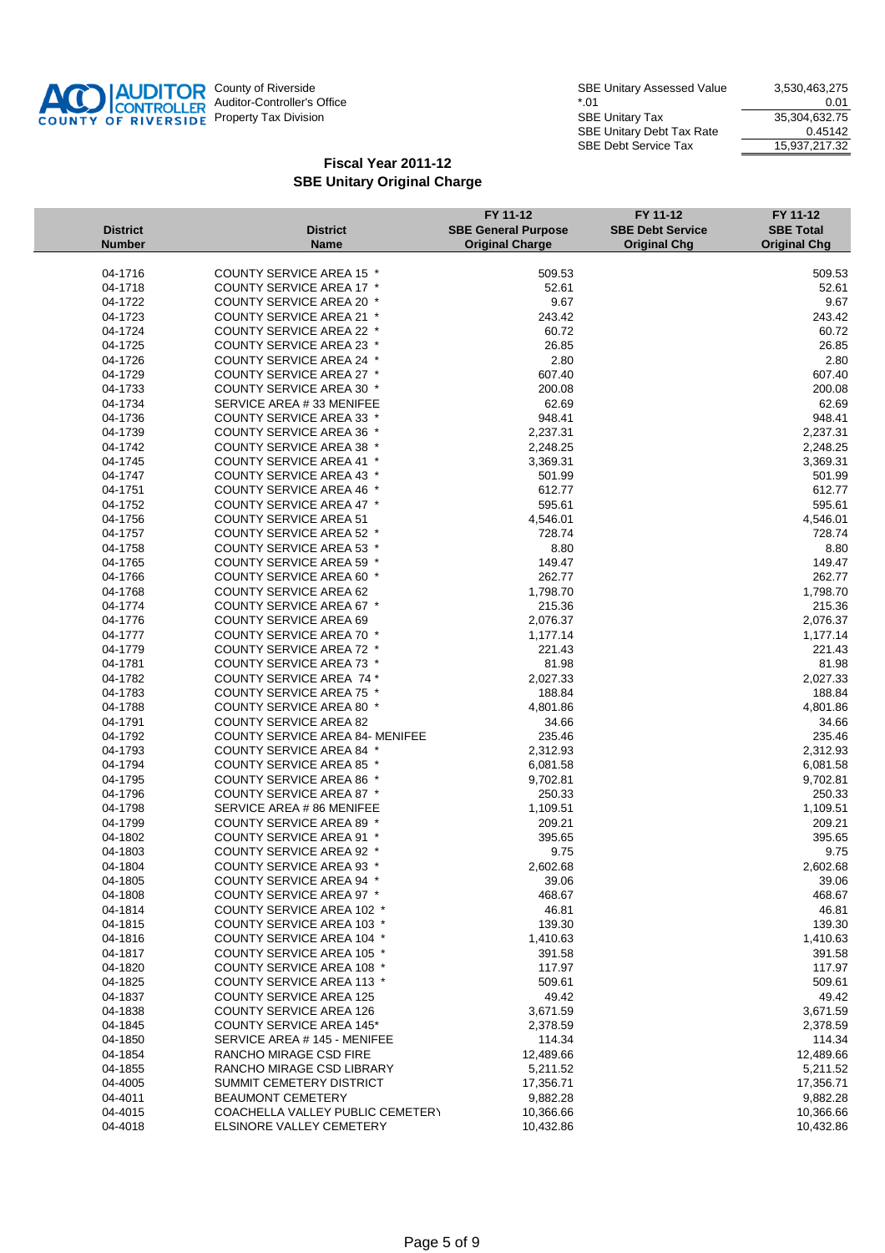

|                                  |                                        | FY 11-12                                             | FY 11-12                                       | FY 11-12                                |
|----------------------------------|----------------------------------------|------------------------------------------------------|------------------------------------------------|-----------------------------------------|
| <b>District</b><br><b>Number</b> | <b>District</b><br><b>Name</b>         | <b>SBE General Purpose</b><br><b>Original Charge</b> | <b>SBE Debt Service</b><br><b>Original Chg</b> | <b>SBE Total</b><br><b>Original Chg</b> |
|                                  |                                        |                                                      |                                                |                                         |
| 04-1716                          | <b>COUNTY SERVICE AREA 15 *</b>        | 509.53                                               |                                                | 509.53                                  |
| 04-1718                          | COUNTY SERVICE AREA 17 *               | 52.61                                                |                                                | 52.61                                   |
| 04-1722                          | COUNTY SERVICE AREA 20 *               | 9.67                                                 |                                                | 9.67                                    |
| 04-1723                          | <b>COUNTY SERVICE AREA 21 *</b>        | 243.42                                               |                                                | 243.42                                  |
| 04-1724                          | <b>COUNTY SERVICE AREA 22 *</b>        | 60.72                                                |                                                | 60.72                                   |
| 04-1725                          | COUNTY SERVICE AREA 23 *               | 26.85                                                |                                                | 26.85                                   |
| 04-1726                          | <b>COUNTY SERVICE AREA 24 *</b>        | 2.80                                                 |                                                | 2.80                                    |
| 04-1729                          | COUNTY SERVICE AREA 27 *               | 607.40                                               |                                                | 607.40                                  |
| 04-1733                          | <b>COUNTY SERVICE AREA 30 *</b>        | 200.08                                               |                                                | 200.08                                  |
| 04-1734                          | SERVICE AREA #33 MENIFEE               | 62.69                                                |                                                | 62.69                                   |
| 04-1736                          | <b>COUNTY SERVICE AREA 33 *</b>        | 948.41                                               |                                                | 948.41                                  |
| 04-1739                          | <b>COUNTY SERVICE AREA 36 *</b>        | 2,237.31                                             |                                                | 2,237.31                                |
| 04-1742                          | <b>COUNTY SERVICE AREA 38 *</b>        | 2,248.25                                             |                                                | 2,248.25                                |
| 04-1745                          | <b>COUNTY SERVICE AREA 41 *</b>        | 3,369.31                                             |                                                | 3,369.31                                |
| 04-1747                          | <b>COUNTY SERVICE AREA 43 *</b>        | 501.99                                               |                                                | 501.99                                  |
| 04-1751                          | <b>COUNTY SERVICE AREA 46 *</b>        | 612.77                                               |                                                | 612.77                                  |
| 04-1752                          | COUNTY SERVICE AREA 47 *               | 595.61                                               |                                                | 595.61                                  |
| 04-1756                          | <b>COUNTY SERVICE AREA 51</b>          | 4,546.01                                             |                                                | 4,546.01                                |
| 04-1757                          | <b>COUNTY SERVICE AREA 52 *</b>        | 728.74                                               |                                                | 728.74                                  |
| 04-1758                          | <b>COUNTY SERVICE AREA 53 *</b>        | 8.80                                                 |                                                | 8.80                                    |
| 04-1765                          | <b>COUNTY SERVICE AREA 59 *</b>        | 149.47                                               |                                                | 149.47                                  |
| 04-1766                          | COUNTY SERVICE AREA 60 *               | 262.77                                               |                                                | 262.77                                  |
| 04-1768                          | <b>COUNTY SERVICE AREA 62</b>          | 1,798.70                                             |                                                | 1,798.70                                |
| 04-1774                          | COUNTY SERVICE AREA 67 *               | 215.36                                               |                                                | 215.36                                  |
| 04-1776                          | <b>COUNTY SERVICE AREA 69</b>          | 2,076.37                                             |                                                | 2,076.37                                |
| 04-1777                          | <b>COUNTY SERVICE AREA 70 *</b>        | 1,177.14                                             |                                                | 1,177.14                                |
| 04-1779                          | COUNTY SERVICE AREA 72 *               | 221.43                                               |                                                | 221.43                                  |
| 04-1781                          | COUNTY SERVICE AREA 73 *               | 81.98                                                |                                                | 81.98                                   |
| 04-1782                          | <b>COUNTY SERVICE AREA 74 *</b>        | 2,027.33                                             |                                                | 2,027.33                                |
| 04-1783                          | COUNTY SERVICE AREA 75 *               | 188.84                                               |                                                | 188.84                                  |
| 04-1788                          | <b>COUNTY SERVICE AREA 80 *</b>        | 4,801.86                                             |                                                | 4,801.86                                |
| 04-1791                          | <b>COUNTY SERVICE AREA 82</b>          | 34.66                                                |                                                | 34.66                                   |
| 04-1792                          | <b>COUNTY SERVICE AREA 84- MENIFEE</b> | 235.46                                               |                                                | 235.46                                  |
| 04-1793                          | <b>COUNTY SERVICE AREA 84 *</b>        | 2,312.93                                             |                                                | 2,312.93                                |
| 04-1794                          | <b>COUNTY SERVICE AREA 85 *</b>        | 6,081.58                                             |                                                | 6,081.58                                |
| 04-1795                          | <b>COUNTY SERVICE AREA 86 *</b>        | 9,702.81                                             |                                                | 9,702.81                                |
| 04-1796                          | <b>COUNTY SERVICE AREA 87 *</b>        | 250.33                                               |                                                | 250.33                                  |
| 04-1798                          | SERVICE AREA # 86 MENIFEE              | 1,109.51                                             |                                                | 1,109.51                                |
| 04-1799                          | <b>COUNTY SERVICE AREA 89 *</b>        | 209.21                                               |                                                | 209.21                                  |
| 04-1802                          | COUNTY SERVICE AREA 91 *               | 395.65                                               |                                                | 395.65                                  |
| 04-1803                          | <b>COUNTY SERVICE AREA 92 *</b>        | 9.75                                                 |                                                | 9.75                                    |
| 04-1804                          | <b>COUNTY SERVICE AREA 93 *</b>        | 2,602.68                                             |                                                | 2,602.68                                |
| 04-1805                          | <b>COUNTY SERVICE AREA 94 *</b>        | 39.06                                                |                                                | 39.06                                   |
| 04-1808                          | COUNTY SERVICE AREA 97 *               | 468.67                                               |                                                | 468.67                                  |
| 04-1814                          | <b>COUNTY SERVICE AREA 102 *</b>       | 46.81                                                |                                                | 46.81                                   |
| 04-1815                          | <b>COUNTY SERVICE AREA 103 *</b>       | 139.30                                               |                                                | 139.30                                  |
| 04-1816                          | <b>COUNTY SERVICE AREA 104 *</b>       | 1,410.63                                             |                                                | 1,410.63                                |
| 04-1817                          | <b>COUNTY SERVICE AREA 105 *</b>       | 391.58                                               |                                                | 391.58                                  |
| 04-1820                          | <b>COUNTY SERVICE AREA 108 *</b>       | 117.97                                               |                                                | 117.97                                  |
| 04-1825                          | COUNTY SERVICE AREA 113 *              | 509.61                                               |                                                | 509.61                                  |
| 04-1837                          | <b>COUNTY SERVICE AREA 125</b>         | 49.42                                                |                                                | 49.42                                   |
| 04-1838                          | <b>COUNTY SERVICE AREA 126</b>         | 3,671.59                                             |                                                | 3,671.59                                |
| 04-1845                          | <b>COUNTY SERVICE AREA 145*</b>        | 2,378.59                                             |                                                | 2,378.59                                |
| 04-1850                          | SERVICE AREA # 145 - MENIFEE           | 114.34                                               |                                                | 114.34                                  |
| 04-1854                          | <b>RANCHO MIRAGE CSD FIRE</b>          | 12,489.66                                            |                                                | 12,489.66                               |
| 04-1855                          | RANCHO MIRAGE CSD LIBRARY              | 5,211.52                                             |                                                | 5,211.52                                |
| 04-4005                          | SUMMIT CEMETERY DISTRICT               | 17,356.71                                            |                                                | 17,356.71                               |
| 04-4011                          | <b>BEAUMONT CEMETERY</b>               | 9,882.28                                             |                                                | 9,882.28                                |
| 04-4015                          | COACHELLA VALLEY PUBLIC CEMETERY       | 10,366.66                                            |                                                | 10,366.66                               |
| 04-4018                          | ELSINORE VALLEY CEMETERY               | 10,432.86                                            |                                                | 10,432.86                               |
|                                  |                                        |                                                      |                                                |                                         |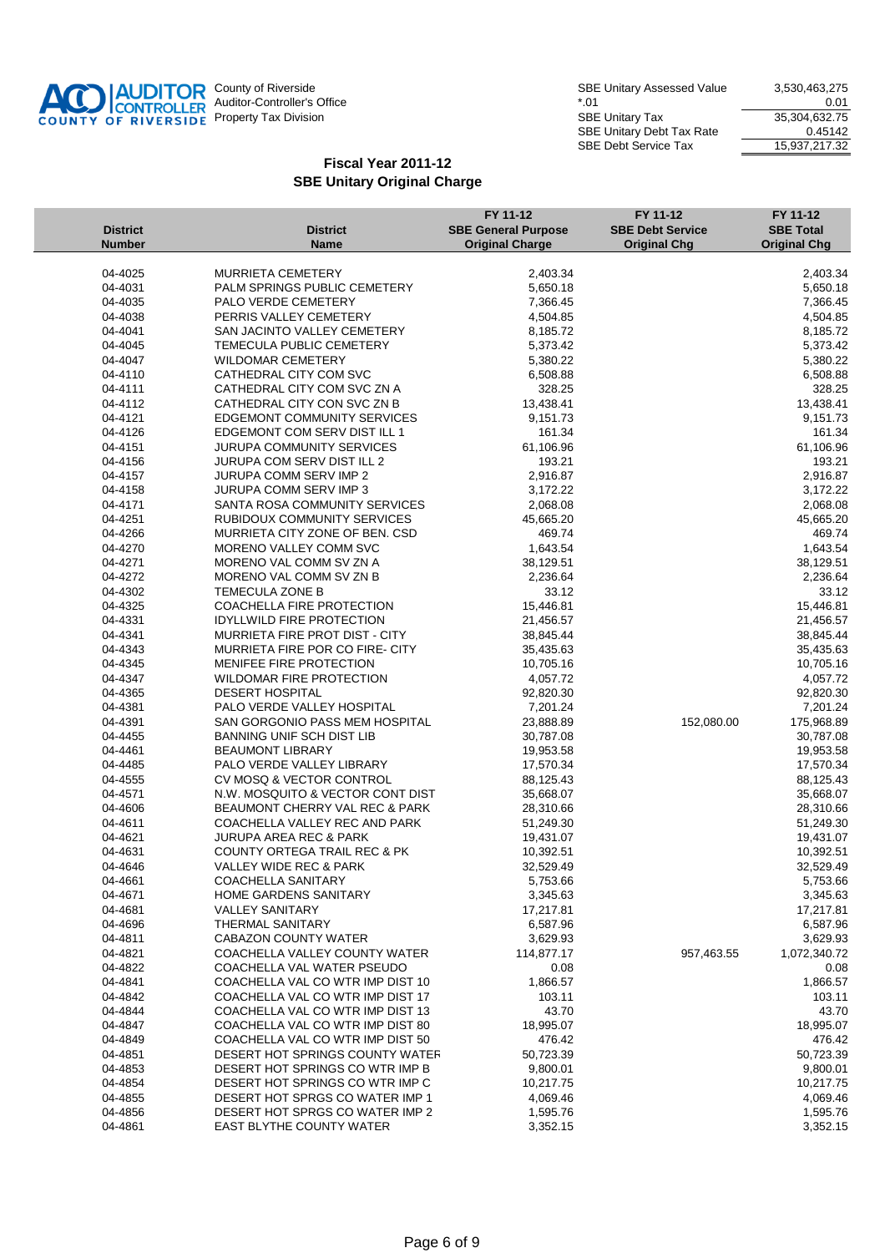

| <b>Number</b><br><b>Name</b><br><b>Original Charge</b><br><b>Original Chg</b><br><b>Original Chg</b><br>MURRIETA CEMETERY<br>04-4025<br>2,403.34<br>2,403.34<br>04-4031<br>PALM SPRINGS PUBLIC CEMETERY<br>5,650.18<br>5,650.18<br>04-4035<br>PALO VERDE CEMETERY<br>7,366.45<br>7,366.45<br>04-4038<br>PERRIS VALLEY CEMETERY<br>4,504.85<br>4,504.85<br>04-4041<br>SAN JACINTO VALLEY CEMETERY<br>8,185.72<br>8,185.72<br>04-4045<br>TEMECULA PUBLIC CEMETERY<br>5,373.42<br>5,373.42<br>04-4047<br><b>WILDOMAR CEMETERY</b><br>5,380.22<br>5,380.22<br>04-4110<br>CATHEDRAL CITY COM SVC<br>6,508.88<br>6,508.88<br>04-4111<br>CATHEDRAL CITY COM SVC ZN A<br>328.25<br>328.25<br>04-4112<br>CATHEDRAL CITY CON SVC ZN B<br>13,438.41<br>13,438.41<br>04-4121<br><b>EDGEMONT COMMUNITY SERVICES</b><br>9,151.73<br>9,151.73<br>04-4126<br>EDGEMONT COM SERV DIST ILL 1<br>161.34<br>161.34<br>04-4151<br><b>JURUPA COMMUNITY SERVICES</b><br>61,106.96<br>61,106.96<br>04-4156<br>193.21<br>JURUPA COM SERV DIST ILL 2<br>193.21<br>04-4157<br><b>JURUPA COMM SERV IMP 2</b><br>2,916.87<br>2,916.87<br><b>JURUPA COMM SERV IMP 3</b><br>04-4158<br>3,172.22<br>3,172.22<br>04-4171<br>SANTA ROSA COMMUNITY SERVICES<br>2,068.08<br>2,068.08<br>04-4251<br>RUBIDOUX COMMUNITY SERVICES<br>45,665.20<br>45,665.20<br>04-4266<br>MURRIETA CITY ZONE OF BEN. CSD<br>469.74<br>469.74<br>04-4270<br>MORENO VALLEY COMM SVC<br>1,643.54<br>1,643.54<br>04-4271<br>MORENO VAL COMM SV ZN A<br>38,129.51<br>38,129.51<br>04-4272<br>MORENO VAL COMM SV ZN B<br>2,236.64<br>2,236.64<br>04-4302<br>TEMECULA ZONE B<br>33.12<br>33.12<br>COACHELLA FIRE PROTECTION<br>04-4325<br>15,446.81<br>15,446.81<br>04-4331<br><b>IDYLLWILD FIRE PROTECTION</b><br>21,456.57<br>21,456.57<br>04-4341<br>MURRIETA FIRE PROT DIST - CITY<br>38,845.44<br>38,845.44<br>04-4343<br>MURRIETA FIRE POR CO FIRE- CITY<br>35,435.63<br>35,435.63<br>04-4345<br>MENIFEE FIRE PROTECTION<br>10,705.16<br>10,705.16<br>04-4347<br>WILDOMAR FIRE PROTECTION<br>4,057.72<br>4,057.72<br>04-4365<br>DESERT HOSPITAL<br>92,820.30<br>92,820.30<br>04-4381<br>PALO VERDE VALLEY HOSPITAL<br>7,201.24<br>7,201.24<br>04-4391<br>SAN GORGONIO PASS MEM HOSPITAL<br>152,080.00<br>23,888.89<br>175,968.89<br>04-4455<br><b>BANNING UNIF SCH DIST LIB</b><br>30,787.08<br>30,787.08<br>04-4461<br><b>BEAUMONT LIBRARY</b><br>19,953.58<br>19,953.58<br>04-4485<br>PALO VERDE VALLEY LIBRARY<br>17,570.34<br>17,570.34<br>04-4555<br>88,125.43<br>CV MOSQ & VECTOR CONTROL<br>88,125.43<br>04-4571<br>N.W. MOSQUITO & VECTOR CONT DIST<br>35,668.07<br>35,668.07<br>04-4606<br>BEAUMONT CHERRY VAL REC & PARK<br>28,310.66<br>28,310.66<br>04-4611<br>COACHELLA VALLEY REC AND PARK<br>51,249.30<br>51,249.30<br>JURUPA AREA REC & PARK<br>04-4621<br>19,431.07<br>19,431.07<br>04-4631<br>COUNTY ORTEGA TRAIL REC & PK<br>10,392.51<br>10,392.51<br><b>VALLEY WIDE REC &amp; PARK</b><br>32,529.49<br>32,529.49<br>04-4646<br>04-4661<br>COACHELLA SANITARY<br>5,753.66<br>5,753.66<br>04-4671<br><b>HOME GARDENS SANITARY</b><br>3,345.63<br>3,345.63<br>04-4681<br><b>VALLEY SANITARY</b><br>17,217.81<br>17,217.81<br>04-4696<br>THERMAL SANITARY<br>6,587.96<br>6,587.96<br>04-4811<br>CABAZON COUNTY WATER<br>3,629.93<br>3,629.93<br>COACHELLA VALLEY COUNTY WATER<br>04-4821<br>114,877.17<br>957,463.55<br>1,072,340.72<br>04-4822<br>COACHELLA VAL WATER PSEUDO<br>0.08<br>0.08<br>04-4841<br>COACHELLA VAL CO WTR IMP DIST 10<br>1,866.57<br>1,866.57<br>04-4842<br>COACHELLA VAL CO WTR IMP DIST 17<br>103.11<br>103.11<br>04-4844<br>COACHELLA VAL CO WTR IMP DIST 13<br>43.70<br>43.70<br>04-4847<br>COACHELLA VAL CO WTR IMP DIST 80<br>18,995.07<br>18,995.07<br>04-4849<br>COACHELLA VAL CO WTR IMP DIST 50<br>476.42<br>476.42<br>DESERT HOT SPRINGS COUNTY WATER<br>04-4851<br>50,723.39<br>50,723.39<br>DESERT HOT SPRINGS CO WTR IMP B<br>04-4853<br>9,800.01<br>9,800.01<br>DESERT HOT SPRINGS CO WTR IMP C<br>04-4854<br>10,217.75<br>10,217.75<br>DESERT HOT SPRGS CO WATER IMP 1<br>04-4855<br>4,069.46<br>4,069.46<br>DESERT HOT SPRGS CO WATER IMP 2<br>04-4856<br>1,595.76<br>1,595.76<br>04-4861<br><b>EAST BLYTHE COUNTY WATER</b><br>3,352.15<br>3,352.15 | <b>District</b> | <b>District</b> | FY 11-12<br><b>SBE General Purpose</b> | FY 11-12<br><b>SBE Debt Service</b> | FY 11-12<br><b>SBE Total</b> |
|------------------------------------------------------------------------------------------------------------------------------------------------------------------------------------------------------------------------------------------------------------------------------------------------------------------------------------------------------------------------------------------------------------------------------------------------------------------------------------------------------------------------------------------------------------------------------------------------------------------------------------------------------------------------------------------------------------------------------------------------------------------------------------------------------------------------------------------------------------------------------------------------------------------------------------------------------------------------------------------------------------------------------------------------------------------------------------------------------------------------------------------------------------------------------------------------------------------------------------------------------------------------------------------------------------------------------------------------------------------------------------------------------------------------------------------------------------------------------------------------------------------------------------------------------------------------------------------------------------------------------------------------------------------------------------------------------------------------------------------------------------------------------------------------------------------------------------------------------------------------------------------------------------------------------------------------------------------------------------------------------------------------------------------------------------------------------------------------------------------------------------------------------------------------------------------------------------------------------------------------------------------------------------------------------------------------------------------------------------------------------------------------------------------------------------------------------------------------------------------------------------------------------------------------------------------------------------------------------------------------------------------------------------------------------------------------------------------------------------------------------------------------------------------------------------------------------------------------------------------------------------------------------------------------------------------------------------------------------------------------------------------------------------------------------------------------------------------------------------------------------------------------------------------------------------------------------------------------------------------------------------------------------------------------------------------------------------------------------------------------------------------------------------------------------------------------------------------------------------------------------------------------------------------------------------------------------------------------------------------------------------------------------------------------------------------------------------------------------------------------------------------------------------------------------------------------------------------------------------------------------------------------------------------------------------------------------------------------------------------------------------------------------------------------------------------------------------------------------------------------------------------------------------------------------------------------------------------------------------------------------|-----------------|-----------------|----------------------------------------|-------------------------------------|------------------------------|
|                                                                                                                                                                                                                                                                                                                                                                                                                                                                                                                                                                                                                                                                                                                                                                                                                                                                                                                                                                                                                                                                                                                                                                                                                                                                                                                                                                                                                                                                                                                                                                                                                                                                                                                                                                                                                                                                                                                                                                                                                                                                                                                                                                                                                                                                                                                                                                                                                                                                                                                                                                                                                                                                                                                                                                                                                                                                                                                                                                                                                                                                                                                                                                                                                                                                                                                                                                                                                                                                                                                                                                                                                                                                                                                                                                                                                                                                                                                                                                                                                                                                                                                                                                                                                                                      |                 |                 |                                        |                                     |                              |
|                                                                                                                                                                                                                                                                                                                                                                                                                                                                                                                                                                                                                                                                                                                                                                                                                                                                                                                                                                                                                                                                                                                                                                                                                                                                                                                                                                                                                                                                                                                                                                                                                                                                                                                                                                                                                                                                                                                                                                                                                                                                                                                                                                                                                                                                                                                                                                                                                                                                                                                                                                                                                                                                                                                                                                                                                                                                                                                                                                                                                                                                                                                                                                                                                                                                                                                                                                                                                                                                                                                                                                                                                                                                                                                                                                                                                                                                                                                                                                                                                                                                                                                                                                                                                                                      |                 |                 |                                        |                                     |                              |
|                                                                                                                                                                                                                                                                                                                                                                                                                                                                                                                                                                                                                                                                                                                                                                                                                                                                                                                                                                                                                                                                                                                                                                                                                                                                                                                                                                                                                                                                                                                                                                                                                                                                                                                                                                                                                                                                                                                                                                                                                                                                                                                                                                                                                                                                                                                                                                                                                                                                                                                                                                                                                                                                                                                                                                                                                                                                                                                                                                                                                                                                                                                                                                                                                                                                                                                                                                                                                                                                                                                                                                                                                                                                                                                                                                                                                                                                                                                                                                                                                                                                                                                                                                                                                                                      |                 |                 |                                        |                                     |                              |
|                                                                                                                                                                                                                                                                                                                                                                                                                                                                                                                                                                                                                                                                                                                                                                                                                                                                                                                                                                                                                                                                                                                                                                                                                                                                                                                                                                                                                                                                                                                                                                                                                                                                                                                                                                                                                                                                                                                                                                                                                                                                                                                                                                                                                                                                                                                                                                                                                                                                                                                                                                                                                                                                                                                                                                                                                                                                                                                                                                                                                                                                                                                                                                                                                                                                                                                                                                                                                                                                                                                                                                                                                                                                                                                                                                                                                                                                                                                                                                                                                                                                                                                                                                                                                                                      |                 |                 |                                        |                                     |                              |
|                                                                                                                                                                                                                                                                                                                                                                                                                                                                                                                                                                                                                                                                                                                                                                                                                                                                                                                                                                                                                                                                                                                                                                                                                                                                                                                                                                                                                                                                                                                                                                                                                                                                                                                                                                                                                                                                                                                                                                                                                                                                                                                                                                                                                                                                                                                                                                                                                                                                                                                                                                                                                                                                                                                                                                                                                                                                                                                                                                                                                                                                                                                                                                                                                                                                                                                                                                                                                                                                                                                                                                                                                                                                                                                                                                                                                                                                                                                                                                                                                                                                                                                                                                                                                                                      |                 |                 |                                        |                                     |                              |
|                                                                                                                                                                                                                                                                                                                                                                                                                                                                                                                                                                                                                                                                                                                                                                                                                                                                                                                                                                                                                                                                                                                                                                                                                                                                                                                                                                                                                                                                                                                                                                                                                                                                                                                                                                                                                                                                                                                                                                                                                                                                                                                                                                                                                                                                                                                                                                                                                                                                                                                                                                                                                                                                                                                                                                                                                                                                                                                                                                                                                                                                                                                                                                                                                                                                                                                                                                                                                                                                                                                                                                                                                                                                                                                                                                                                                                                                                                                                                                                                                                                                                                                                                                                                                                                      |                 |                 |                                        |                                     |                              |
|                                                                                                                                                                                                                                                                                                                                                                                                                                                                                                                                                                                                                                                                                                                                                                                                                                                                                                                                                                                                                                                                                                                                                                                                                                                                                                                                                                                                                                                                                                                                                                                                                                                                                                                                                                                                                                                                                                                                                                                                                                                                                                                                                                                                                                                                                                                                                                                                                                                                                                                                                                                                                                                                                                                                                                                                                                                                                                                                                                                                                                                                                                                                                                                                                                                                                                                                                                                                                                                                                                                                                                                                                                                                                                                                                                                                                                                                                                                                                                                                                                                                                                                                                                                                                                                      |                 |                 |                                        |                                     |                              |
|                                                                                                                                                                                                                                                                                                                                                                                                                                                                                                                                                                                                                                                                                                                                                                                                                                                                                                                                                                                                                                                                                                                                                                                                                                                                                                                                                                                                                                                                                                                                                                                                                                                                                                                                                                                                                                                                                                                                                                                                                                                                                                                                                                                                                                                                                                                                                                                                                                                                                                                                                                                                                                                                                                                                                                                                                                                                                                                                                                                                                                                                                                                                                                                                                                                                                                                                                                                                                                                                                                                                                                                                                                                                                                                                                                                                                                                                                                                                                                                                                                                                                                                                                                                                                                                      |                 |                 |                                        |                                     |                              |
|                                                                                                                                                                                                                                                                                                                                                                                                                                                                                                                                                                                                                                                                                                                                                                                                                                                                                                                                                                                                                                                                                                                                                                                                                                                                                                                                                                                                                                                                                                                                                                                                                                                                                                                                                                                                                                                                                                                                                                                                                                                                                                                                                                                                                                                                                                                                                                                                                                                                                                                                                                                                                                                                                                                                                                                                                                                                                                                                                                                                                                                                                                                                                                                                                                                                                                                                                                                                                                                                                                                                                                                                                                                                                                                                                                                                                                                                                                                                                                                                                                                                                                                                                                                                                                                      |                 |                 |                                        |                                     |                              |
|                                                                                                                                                                                                                                                                                                                                                                                                                                                                                                                                                                                                                                                                                                                                                                                                                                                                                                                                                                                                                                                                                                                                                                                                                                                                                                                                                                                                                                                                                                                                                                                                                                                                                                                                                                                                                                                                                                                                                                                                                                                                                                                                                                                                                                                                                                                                                                                                                                                                                                                                                                                                                                                                                                                                                                                                                                                                                                                                                                                                                                                                                                                                                                                                                                                                                                                                                                                                                                                                                                                                                                                                                                                                                                                                                                                                                                                                                                                                                                                                                                                                                                                                                                                                                                                      |                 |                 |                                        |                                     |                              |
|                                                                                                                                                                                                                                                                                                                                                                                                                                                                                                                                                                                                                                                                                                                                                                                                                                                                                                                                                                                                                                                                                                                                                                                                                                                                                                                                                                                                                                                                                                                                                                                                                                                                                                                                                                                                                                                                                                                                                                                                                                                                                                                                                                                                                                                                                                                                                                                                                                                                                                                                                                                                                                                                                                                                                                                                                                                                                                                                                                                                                                                                                                                                                                                                                                                                                                                                                                                                                                                                                                                                                                                                                                                                                                                                                                                                                                                                                                                                                                                                                                                                                                                                                                                                                                                      |                 |                 |                                        |                                     |                              |
|                                                                                                                                                                                                                                                                                                                                                                                                                                                                                                                                                                                                                                                                                                                                                                                                                                                                                                                                                                                                                                                                                                                                                                                                                                                                                                                                                                                                                                                                                                                                                                                                                                                                                                                                                                                                                                                                                                                                                                                                                                                                                                                                                                                                                                                                                                                                                                                                                                                                                                                                                                                                                                                                                                                                                                                                                                                                                                                                                                                                                                                                                                                                                                                                                                                                                                                                                                                                                                                                                                                                                                                                                                                                                                                                                                                                                                                                                                                                                                                                                                                                                                                                                                                                                                                      |                 |                 |                                        |                                     |                              |
|                                                                                                                                                                                                                                                                                                                                                                                                                                                                                                                                                                                                                                                                                                                                                                                                                                                                                                                                                                                                                                                                                                                                                                                                                                                                                                                                                                                                                                                                                                                                                                                                                                                                                                                                                                                                                                                                                                                                                                                                                                                                                                                                                                                                                                                                                                                                                                                                                                                                                                                                                                                                                                                                                                                                                                                                                                                                                                                                                                                                                                                                                                                                                                                                                                                                                                                                                                                                                                                                                                                                                                                                                                                                                                                                                                                                                                                                                                                                                                                                                                                                                                                                                                                                                                                      |                 |                 |                                        |                                     |                              |
|                                                                                                                                                                                                                                                                                                                                                                                                                                                                                                                                                                                                                                                                                                                                                                                                                                                                                                                                                                                                                                                                                                                                                                                                                                                                                                                                                                                                                                                                                                                                                                                                                                                                                                                                                                                                                                                                                                                                                                                                                                                                                                                                                                                                                                                                                                                                                                                                                                                                                                                                                                                                                                                                                                                                                                                                                                                                                                                                                                                                                                                                                                                                                                                                                                                                                                                                                                                                                                                                                                                                                                                                                                                                                                                                                                                                                                                                                                                                                                                                                                                                                                                                                                                                                                                      |                 |                 |                                        |                                     |                              |
|                                                                                                                                                                                                                                                                                                                                                                                                                                                                                                                                                                                                                                                                                                                                                                                                                                                                                                                                                                                                                                                                                                                                                                                                                                                                                                                                                                                                                                                                                                                                                                                                                                                                                                                                                                                                                                                                                                                                                                                                                                                                                                                                                                                                                                                                                                                                                                                                                                                                                                                                                                                                                                                                                                                                                                                                                                                                                                                                                                                                                                                                                                                                                                                                                                                                                                                                                                                                                                                                                                                                                                                                                                                                                                                                                                                                                                                                                                                                                                                                                                                                                                                                                                                                                                                      |                 |                 |                                        |                                     |                              |
|                                                                                                                                                                                                                                                                                                                                                                                                                                                                                                                                                                                                                                                                                                                                                                                                                                                                                                                                                                                                                                                                                                                                                                                                                                                                                                                                                                                                                                                                                                                                                                                                                                                                                                                                                                                                                                                                                                                                                                                                                                                                                                                                                                                                                                                                                                                                                                                                                                                                                                                                                                                                                                                                                                                                                                                                                                                                                                                                                                                                                                                                                                                                                                                                                                                                                                                                                                                                                                                                                                                                                                                                                                                                                                                                                                                                                                                                                                                                                                                                                                                                                                                                                                                                                                                      |                 |                 |                                        |                                     |                              |
|                                                                                                                                                                                                                                                                                                                                                                                                                                                                                                                                                                                                                                                                                                                                                                                                                                                                                                                                                                                                                                                                                                                                                                                                                                                                                                                                                                                                                                                                                                                                                                                                                                                                                                                                                                                                                                                                                                                                                                                                                                                                                                                                                                                                                                                                                                                                                                                                                                                                                                                                                                                                                                                                                                                                                                                                                                                                                                                                                                                                                                                                                                                                                                                                                                                                                                                                                                                                                                                                                                                                                                                                                                                                                                                                                                                                                                                                                                                                                                                                                                                                                                                                                                                                                                                      |                 |                 |                                        |                                     |                              |
|                                                                                                                                                                                                                                                                                                                                                                                                                                                                                                                                                                                                                                                                                                                                                                                                                                                                                                                                                                                                                                                                                                                                                                                                                                                                                                                                                                                                                                                                                                                                                                                                                                                                                                                                                                                                                                                                                                                                                                                                                                                                                                                                                                                                                                                                                                                                                                                                                                                                                                                                                                                                                                                                                                                                                                                                                                                                                                                                                                                                                                                                                                                                                                                                                                                                                                                                                                                                                                                                                                                                                                                                                                                                                                                                                                                                                                                                                                                                                                                                                                                                                                                                                                                                                                                      |                 |                 |                                        |                                     |                              |
|                                                                                                                                                                                                                                                                                                                                                                                                                                                                                                                                                                                                                                                                                                                                                                                                                                                                                                                                                                                                                                                                                                                                                                                                                                                                                                                                                                                                                                                                                                                                                                                                                                                                                                                                                                                                                                                                                                                                                                                                                                                                                                                                                                                                                                                                                                                                                                                                                                                                                                                                                                                                                                                                                                                                                                                                                                                                                                                                                                                                                                                                                                                                                                                                                                                                                                                                                                                                                                                                                                                                                                                                                                                                                                                                                                                                                                                                                                                                                                                                                                                                                                                                                                                                                                                      |                 |                 |                                        |                                     |                              |
|                                                                                                                                                                                                                                                                                                                                                                                                                                                                                                                                                                                                                                                                                                                                                                                                                                                                                                                                                                                                                                                                                                                                                                                                                                                                                                                                                                                                                                                                                                                                                                                                                                                                                                                                                                                                                                                                                                                                                                                                                                                                                                                                                                                                                                                                                                                                                                                                                                                                                                                                                                                                                                                                                                                                                                                                                                                                                                                                                                                                                                                                                                                                                                                                                                                                                                                                                                                                                                                                                                                                                                                                                                                                                                                                                                                                                                                                                                                                                                                                                                                                                                                                                                                                                                                      |                 |                 |                                        |                                     |                              |
|                                                                                                                                                                                                                                                                                                                                                                                                                                                                                                                                                                                                                                                                                                                                                                                                                                                                                                                                                                                                                                                                                                                                                                                                                                                                                                                                                                                                                                                                                                                                                                                                                                                                                                                                                                                                                                                                                                                                                                                                                                                                                                                                                                                                                                                                                                                                                                                                                                                                                                                                                                                                                                                                                                                                                                                                                                                                                                                                                                                                                                                                                                                                                                                                                                                                                                                                                                                                                                                                                                                                                                                                                                                                                                                                                                                                                                                                                                                                                                                                                                                                                                                                                                                                                                                      |                 |                 |                                        |                                     |                              |
|                                                                                                                                                                                                                                                                                                                                                                                                                                                                                                                                                                                                                                                                                                                                                                                                                                                                                                                                                                                                                                                                                                                                                                                                                                                                                                                                                                                                                                                                                                                                                                                                                                                                                                                                                                                                                                                                                                                                                                                                                                                                                                                                                                                                                                                                                                                                                                                                                                                                                                                                                                                                                                                                                                                                                                                                                                                                                                                                                                                                                                                                                                                                                                                                                                                                                                                                                                                                                                                                                                                                                                                                                                                                                                                                                                                                                                                                                                                                                                                                                                                                                                                                                                                                                                                      |                 |                 |                                        |                                     |                              |
|                                                                                                                                                                                                                                                                                                                                                                                                                                                                                                                                                                                                                                                                                                                                                                                                                                                                                                                                                                                                                                                                                                                                                                                                                                                                                                                                                                                                                                                                                                                                                                                                                                                                                                                                                                                                                                                                                                                                                                                                                                                                                                                                                                                                                                                                                                                                                                                                                                                                                                                                                                                                                                                                                                                                                                                                                                                                                                                                                                                                                                                                                                                                                                                                                                                                                                                                                                                                                                                                                                                                                                                                                                                                                                                                                                                                                                                                                                                                                                                                                                                                                                                                                                                                                                                      |                 |                 |                                        |                                     |                              |
|                                                                                                                                                                                                                                                                                                                                                                                                                                                                                                                                                                                                                                                                                                                                                                                                                                                                                                                                                                                                                                                                                                                                                                                                                                                                                                                                                                                                                                                                                                                                                                                                                                                                                                                                                                                                                                                                                                                                                                                                                                                                                                                                                                                                                                                                                                                                                                                                                                                                                                                                                                                                                                                                                                                                                                                                                                                                                                                                                                                                                                                                                                                                                                                                                                                                                                                                                                                                                                                                                                                                                                                                                                                                                                                                                                                                                                                                                                                                                                                                                                                                                                                                                                                                                                                      |                 |                 |                                        |                                     |                              |
|                                                                                                                                                                                                                                                                                                                                                                                                                                                                                                                                                                                                                                                                                                                                                                                                                                                                                                                                                                                                                                                                                                                                                                                                                                                                                                                                                                                                                                                                                                                                                                                                                                                                                                                                                                                                                                                                                                                                                                                                                                                                                                                                                                                                                                                                                                                                                                                                                                                                                                                                                                                                                                                                                                                                                                                                                                                                                                                                                                                                                                                                                                                                                                                                                                                                                                                                                                                                                                                                                                                                                                                                                                                                                                                                                                                                                                                                                                                                                                                                                                                                                                                                                                                                                                                      |                 |                 |                                        |                                     |                              |
|                                                                                                                                                                                                                                                                                                                                                                                                                                                                                                                                                                                                                                                                                                                                                                                                                                                                                                                                                                                                                                                                                                                                                                                                                                                                                                                                                                                                                                                                                                                                                                                                                                                                                                                                                                                                                                                                                                                                                                                                                                                                                                                                                                                                                                                                                                                                                                                                                                                                                                                                                                                                                                                                                                                                                                                                                                                                                                                                                                                                                                                                                                                                                                                                                                                                                                                                                                                                                                                                                                                                                                                                                                                                                                                                                                                                                                                                                                                                                                                                                                                                                                                                                                                                                                                      |                 |                 |                                        |                                     |                              |
|                                                                                                                                                                                                                                                                                                                                                                                                                                                                                                                                                                                                                                                                                                                                                                                                                                                                                                                                                                                                                                                                                                                                                                                                                                                                                                                                                                                                                                                                                                                                                                                                                                                                                                                                                                                                                                                                                                                                                                                                                                                                                                                                                                                                                                                                                                                                                                                                                                                                                                                                                                                                                                                                                                                                                                                                                                                                                                                                                                                                                                                                                                                                                                                                                                                                                                                                                                                                                                                                                                                                                                                                                                                                                                                                                                                                                                                                                                                                                                                                                                                                                                                                                                                                                                                      |                 |                 |                                        |                                     |                              |
|                                                                                                                                                                                                                                                                                                                                                                                                                                                                                                                                                                                                                                                                                                                                                                                                                                                                                                                                                                                                                                                                                                                                                                                                                                                                                                                                                                                                                                                                                                                                                                                                                                                                                                                                                                                                                                                                                                                                                                                                                                                                                                                                                                                                                                                                                                                                                                                                                                                                                                                                                                                                                                                                                                                                                                                                                                                                                                                                                                                                                                                                                                                                                                                                                                                                                                                                                                                                                                                                                                                                                                                                                                                                                                                                                                                                                                                                                                                                                                                                                                                                                                                                                                                                                                                      |                 |                 |                                        |                                     |                              |
|                                                                                                                                                                                                                                                                                                                                                                                                                                                                                                                                                                                                                                                                                                                                                                                                                                                                                                                                                                                                                                                                                                                                                                                                                                                                                                                                                                                                                                                                                                                                                                                                                                                                                                                                                                                                                                                                                                                                                                                                                                                                                                                                                                                                                                                                                                                                                                                                                                                                                                                                                                                                                                                                                                                                                                                                                                                                                                                                                                                                                                                                                                                                                                                                                                                                                                                                                                                                                                                                                                                                                                                                                                                                                                                                                                                                                                                                                                                                                                                                                                                                                                                                                                                                                                                      |                 |                 |                                        |                                     |                              |
|                                                                                                                                                                                                                                                                                                                                                                                                                                                                                                                                                                                                                                                                                                                                                                                                                                                                                                                                                                                                                                                                                                                                                                                                                                                                                                                                                                                                                                                                                                                                                                                                                                                                                                                                                                                                                                                                                                                                                                                                                                                                                                                                                                                                                                                                                                                                                                                                                                                                                                                                                                                                                                                                                                                                                                                                                                                                                                                                                                                                                                                                                                                                                                                                                                                                                                                                                                                                                                                                                                                                                                                                                                                                                                                                                                                                                                                                                                                                                                                                                                                                                                                                                                                                                                                      |                 |                 |                                        |                                     |                              |
|                                                                                                                                                                                                                                                                                                                                                                                                                                                                                                                                                                                                                                                                                                                                                                                                                                                                                                                                                                                                                                                                                                                                                                                                                                                                                                                                                                                                                                                                                                                                                                                                                                                                                                                                                                                                                                                                                                                                                                                                                                                                                                                                                                                                                                                                                                                                                                                                                                                                                                                                                                                                                                                                                                                                                                                                                                                                                                                                                                                                                                                                                                                                                                                                                                                                                                                                                                                                                                                                                                                                                                                                                                                                                                                                                                                                                                                                                                                                                                                                                                                                                                                                                                                                                                                      |                 |                 |                                        |                                     |                              |
|                                                                                                                                                                                                                                                                                                                                                                                                                                                                                                                                                                                                                                                                                                                                                                                                                                                                                                                                                                                                                                                                                                                                                                                                                                                                                                                                                                                                                                                                                                                                                                                                                                                                                                                                                                                                                                                                                                                                                                                                                                                                                                                                                                                                                                                                                                                                                                                                                                                                                                                                                                                                                                                                                                                                                                                                                                                                                                                                                                                                                                                                                                                                                                                                                                                                                                                                                                                                                                                                                                                                                                                                                                                                                                                                                                                                                                                                                                                                                                                                                                                                                                                                                                                                                                                      |                 |                 |                                        |                                     |                              |
|                                                                                                                                                                                                                                                                                                                                                                                                                                                                                                                                                                                                                                                                                                                                                                                                                                                                                                                                                                                                                                                                                                                                                                                                                                                                                                                                                                                                                                                                                                                                                                                                                                                                                                                                                                                                                                                                                                                                                                                                                                                                                                                                                                                                                                                                                                                                                                                                                                                                                                                                                                                                                                                                                                                                                                                                                                                                                                                                                                                                                                                                                                                                                                                                                                                                                                                                                                                                                                                                                                                                                                                                                                                                                                                                                                                                                                                                                                                                                                                                                                                                                                                                                                                                                                                      |                 |                 |                                        |                                     |                              |
|                                                                                                                                                                                                                                                                                                                                                                                                                                                                                                                                                                                                                                                                                                                                                                                                                                                                                                                                                                                                                                                                                                                                                                                                                                                                                                                                                                                                                                                                                                                                                                                                                                                                                                                                                                                                                                                                                                                                                                                                                                                                                                                                                                                                                                                                                                                                                                                                                                                                                                                                                                                                                                                                                                                                                                                                                                                                                                                                                                                                                                                                                                                                                                                                                                                                                                                                                                                                                                                                                                                                                                                                                                                                                                                                                                                                                                                                                                                                                                                                                                                                                                                                                                                                                                                      |                 |                 |                                        |                                     |                              |
|                                                                                                                                                                                                                                                                                                                                                                                                                                                                                                                                                                                                                                                                                                                                                                                                                                                                                                                                                                                                                                                                                                                                                                                                                                                                                                                                                                                                                                                                                                                                                                                                                                                                                                                                                                                                                                                                                                                                                                                                                                                                                                                                                                                                                                                                                                                                                                                                                                                                                                                                                                                                                                                                                                                                                                                                                                                                                                                                                                                                                                                                                                                                                                                                                                                                                                                                                                                                                                                                                                                                                                                                                                                                                                                                                                                                                                                                                                                                                                                                                                                                                                                                                                                                                                                      |                 |                 |                                        |                                     |                              |
|                                                                                                                                                                                                                                                                                                                                                                                                                                                                                                                                                                                                                                                                                                                                                                                                                                                                                                                                                                                                                                                                                                                                                                                                                                                                                                                                                                                                                                                                                                                                                                                                                                                                                                                                                                                                                                                                                                                                                                                                                                                                                                                                                                                                                                                                                                                                                                                                                                                                                                                                                                                                                                                                                                                                                                                                                                                                                                                                                                                                                                                                                                                                                                                                                                                                                                                                                                                                                                                                                                                                                                                                                                                                                                                                                                                                                                                                                                                                                                                                                                                                                                                                                                                                                                                      |                 |                 |                                        |                                     |                              |
|                                                                                                                                                                                                                                                                                                                                                                                                                                                                                                                                                                                                                                                                                                                                                                                                                                                                                                                                                                                                                                                                                                                                                                                                                                                                                                                                                                                                                                                                                                                                                                                                                                                                                                                                                                                                                                                                                                                                                                                                                                                                                                                                                                                                                                                                                                                                                                                                                                                                                                                                                                                                                                                                                                                                                                                                                                                                                                                                                                                                                                                                                                                                                                                                                                                                                                                                                                                                                                                                                                                                                                                                                                                                                                                                                                                                                                                                                                                                                                                                                                                                                                                                                                                                                                                      |                 |                 |                                        |                                     |                              |
|                                                                                                                                                                                                                                                                                                                                                                                                                                                                                                                                                                                                                                                                                                                                                                                                                                                                                                                                                                                                                                                                                                                                                                                                                                                                                                                                                                                                                                                                                                                                                                                                                                                                                                                                                                                                                                                                                                                                                                                                                                                                                                                                                                                                                                                                                                                                                                                                                                                                                                                                                                                                                                                                                                                                                                                                                                                                                                                                                                                                                                                                                                                                                                                                                                                                                                                                                                                                                                                                                                                                                                                                                                                                                                                                                                                                                                                                                                                                                                                                                                                                                                                                                                                                                                                      |                 |                 |                                        |                                     |                              |
|                                                                                                                                                                                                                                                                                                                                                                                                                                                                                                                                                                                                                                                                                                                                                                                                                                                                                                                                                                                                                                                                                                                                                                                                                                                                                                                                                                                                                                                                                                                                                                                                                                                                                                                                                                                                                                                                                                                                                                                                                                                                                                                                                                                                                                                                                                                                                                                                                                                                                                                                                                                                                                                                                                                                                                                                                                                                                                                                                                                                                                                                                                                                                                                                                                                                                                                                                                                                                                                                                                                                                                                                                                                                                                                                                                                                                                                                                                                                                                                                                                                                                                                                                                                                                                                      |                 |                 |                                        |                                     |                              |
|                                                                                                                                                                                                                                                                                                                                                                                                                                                                                                                                                                                                                                                                                                                                                                                                                                                                                                                                                                                                                                                                                                                                                                                                                                                                                                                                                                                                                                                                                                                                                                                                                                                                                                                                                                                                                                                                                                                                                                                                                                                                                                                                                                                                                                                                                                                                                                                                                                                                                                                                                                                                                                                                                                                                                                                                                                                                                                                                                                                                                                                                                                                                                                                                                                                                                                                                                                                                                                                                                                                                                                                                                                                                                                                                                                                                                                                                                                                                                                                                                                                                                                                                                                                                                                                      |                 |                 |                                        |                                     |                              |
|                                                                                                                                                                                                                                                                                                                                                                                                                                                                                                                                                                                                                                                                                                                                                                                                                                                                                                                                                                                                                                                                                                                                                                                                                                                                                                                                                                                                                                                                                                                                                                                                                                                                                                                                                                                                                                                                                                                                                                                                                                                                                                                                                                                                                                                                                                                                                                                                                                                                                                                                                                                                                                                                                                                                                                                                                                                                                                                                                                                                                                                                                                                                                                                                                                                                                                                                                                                                                                                                                                                                                                                                                                                                                                                                                                                                                                                                                                                                                                                                                                                                                                                                                                                                                                                      |                 |                 |                                        |                                     |                              |
|                                                                                                                                                                                                                                                                                                                                                                                                                                                                                                                                                                                                                                                                                                                                                                                                                                                                                                                                                                                                                                                                                                                                                                                                                                                                                                                                                                                                                                                                                                                                                                                                                                                                                                                                                                                                                                                                                                                                                                                                                                                                                                                                                                                                                                                                                                                                                                                                                                                                                                                                                                                                                                                                                                                                                                                                                                                                                                                                                                                                                                                                                                                                                                                                                                                                                                                                                                                                                                                                                                                                                                                                                                                                                                                                                                                                                                                                                                                                                                                                                                                                                                                                                                                                                                                      |                 |                 |                                        |                                     |                              |
|                                                                                                                                                                                                                                                                                                                                                                                                                                                                                                                                                                                                                                                                                                                                                                                                                                                                                                                                                                                                                                                                                                                                                                                                                                                                                                                                                                                                                                                                                                                                                                                                                                                                                                                                                                                                                                                                                                                                                                                                                                                                                                                                                                                                                                                                                                                                                                                                                                                                                                                                                                                                                                                                                                                                                                                                                                                                                                                                                                                                                                                                                                                                                                                                                                                                                                                                                                                                                                                                                                                                                                                                                                                                                                                                                                                                                                                                                                                                                                                                                                                                                                                                                                                                                                                      |                 |                 |                                        |                                     |                              |
|                                                                                                                                                                                                                                                                                                                                                                                                                                                                                                                                                                                                                                                                                                                                                                                                                                                                                                                                                                                                                                                                                                                                                                                                                                                                                                                                                                                                                                                                                                                                                                                                                                                                                                                                                                                                                                                                                                                                                                                                                                                                                                                                                                                                                                                                                                                                                                                                                                                                                                                                                                                                                                                                                                                                                                                                                                                                                                                                                                                                                                                                                                                                                                                                                                                                                                                                                                                                                                                                                                                                                                                                                                                                                                                                                                                                                                                                                                                                                                                                                                                                                                                                                                                                                                                      |                 |                 |                                        |                                     |                              |
|                                                                                                                                                                                                                                                                                                                                                                                                                                                                                                                                                                                                                                                                                                                                                                                                                                                                                                                                                                                                                                                                                                                                                                                                                                                                                                                                                                                                                                                                                                                                                                                                                                                                                                                                                                                                                                                                                                                                                                                                                                                                                                                                                                                                                                                                                                                                                                                                                                                                                                                                                                                                                                                                                                                                                                                                                                                                                                                                                                                                                                                                                                                                                                                                                                                                                                                                                                                                                                                                                                                                                                                                                                                                                                                                                                                                                                                                                                                                                                                                                                                                                                                                                                                                                                                      |                 |                 |                                        |                                     |                              |
|                                                                                                                                                                                                                                                                                                                                                                                                                                                                                                                                                                                                                                                                                                                                                                                                                                                                                                                                                                                                                                                                                                                                                                                                                                                                                                                                                                                                                                                                                                                                                                                                                                                                                                                                                                                                                                                                                                                                                                                                                                                                                                                                                                                                                                                                                                                                                                                                                                                                                                                                                                                                                                                                                                                                                                                                                                                                                                                                                                                                                                                                                                                                                                                                                                                                                                                                                                                                                                                                                                                                                                                                                                                                                                                                                                                                                                                                                                                                                                                                                                                                                                                                                                                                                                                      |                 |                 |                                        |                                     |                              |
|                                                                                                                                                                                                                                                                                                                                                                                                                                                                                                                                                                                                                                                                                                                                                                                                                                                                                                                                                                                                                                                                                                                                                                                                                                                                                                                                                                                                                                                                                                                                                                                                                                                                                                                                                                                                                                                                                                                                                                                                                                                                                                                                                                                                                                                                                                                                                                                                                                                                                                                                                                                                                                                                                                                                                                                                                                                                                                                                                                                                                                                                                                                                                                                                                                                                                                                                                                                                                                                                                                                                                                                                                                                                                                                                                                                                                                                                                                                                                                                                                                                                                                                                                                                                                                                      |                 |                 |                                        |                                     |                              |
|                                                                                                                                                                                                                                                                                                                                                                                                                                                                                                                                                                                                                                                                                                                                                                                                                                                                                                                                                                                                                                                                                                                                                                                                                                                                                                                                                                                                                                                                                                                                                                                                                                                                                                                                                                                                                                                                                                                                                                                                                                                                                                                                                                                                                                                                                                                                                                                                                                                                                                                                                                                                                                                                                                                                                                                                                                                                                                                                                                                                                                                                                                                                                                                                                                                                                                                                                                                                                                                                                                                                                                                                                                                                                                                                                                                                                                                                                                                                                                                                                                                                                                                                                                                                                                                      |                 |                 |                                        |                                     |                              |
|                                                                                                                                                                                                                                                                                                                                                                                                                                                                                                                                                                                                                                                                                                                                                                                                                                                                                                                                                                                                                                                                                                                                                                                                                                                                                                                                                                                                                                                                                                                                                                                                                                                                                                                                                                                                                                                                                                                                                                                                                                                                                                                                                                                                                                                                                                                                                                                                                                                                                                                                                                                                                                                                                                                                                                                                                                                                                                                                                                                                                                                                                                                                                                                                                                                                                                                                                                                                                                                                                                                                                                                                                                                                                                                                                                                                                                                                                                                                                                                                                                                                                                                                                                                                                                                      |                 |                 |                                        |                                     |                              |
|                                                                                                                                                                                                                                                                                                                                                                                                                                                                                                                                                                                                                                                                                                                                                                                                                                                                                                                                                                                                                                                                                                                                                                                                                                                                                                                                                                                                                                                                                                                                                                                                                                                                                                                                                                                                                                                                                                                                                                                                                                                                                                                                                                                                                                                                                                                                                                                                                                                                                                                                                                                                                                                                                                                                                                                                                                                                                                                                                                                                                                                                                                                                                                                                                                                                                                                                                                                                                                                                                                                                                                                                                                                                                                                                                                                                                                                                                                                                                                                                                                                                                                                                                                                                                                                      |                 |                 |                                        |                                     |                              |
|                                                                                                                                                                                                                                                                                                                                                                                                                                                                                                                                                                                                                                                                                                                                                                                                                                                                                                                                                                                                                                                                                                                                                                                                                                                                                                                                                                                                                                                                                                                                                                                                                                                                                                                                                                                                                                                                                                                                                                                                                                                                                                                                                                                                                                                                                                                                                                                                                                                                                                                                                                                                                                                                                                                                                                                                                                                                                                                                                                                                                                                                                                                                                                                                                                                                                                                                                                                                                                                                                                                                                                                                                                                                                                                                                                                                                                                                                                                                                                                                                                                                                                                                                                                                                                                      |                 |                 |                                        |                                     |                              |
|                                                                                                                                                                                                                                                                                                                                                                                                                                                                                                                                                                                                                                                                                                                                                                                                                                                                                                                                                                                                                                                                                                                                                                                                                                                                                                                                                                                                                                                                                                                                                                                                                                                                                                                                                                                                                                                                                                                                                                                                                                                                                                                                                                                                                                                                                                                                                                                                                                                                                                                                                                                                                                                                                                                                                                                                                                                                                                                                                                                                                                                                                                                                                                                                                                                                                                                                                                                                                                                                                                                                                                                                                                                                                                                                                                                                                                                                                                                                                                                                                                                                                                                                                                                                                                                      |                 |                 |                                        |                                     |                              |
|                                                                                                                                                                                                                                                                                                                                                                                                                                                                                                                                                                                                                                                                                                                                                                                                                                                                                                                                                                                                                                                                                                                                                                                                                                                                                                                                                                                                                                                                                                                                                                                                                                                                                                                                                                                                                                                                                                                                                                                                                                                                                                                                                                                                                                                                                                                                                                                                                                                                                                                                                                                                                                                                                                                                                                                                                                                                                                                                                                                                                                                                                                                                                                                                                                                                                                                                                                                                                                                                                                                                                                                                                                                                                                                                                                                                                                                                                                                                                                                                                                                                                                                                                                                                                                                      |                 |                 |                                        |                                     |                              |
|                                                                                                                                                                                                                                                                                                                                                                                                                                                                                                                                                                                                                                                                                                                                                                                                                                                                                                                                                                                                                                                                                                                                                                                                                                                                                                                                                                                                                                                                                                                                                                                                                                                                                                                                                                                                                                                                                                                                                                                                                                                                                                                                                                                                                                                                                                                                                                                                                                                                                                                                                                                                                                                                                                                                                                                                                                                                                                                                                                                                                                                                                                                                                                                                                                                                                                                                                                                                                                                                                                                                                                                                                                                                                                                                                                                                                                                                                                                                                                                                                                                                                                                                                                                                                                                      |                 |                 |                                        |                                     |                              |
|                                                                                                                                                                                                                                                                                                                                                                                                                                                                                                                                                                                                                                                                                                                                                                                                                                                                                                                                                                                                                                                                                                                                                                                                                                                                                                                                                                                                                                                                                                                                                                                                                                                                                                                                                                                                                                                                                                                                                                                                                                                                                                                                                                                                                                                                                                                                                                                                                                                                                                                                                                                                                                                                                                                                                                                                                                                                                                                                                                                                                                                                                                                                                                                                                                                                                                                                                                                                                                                                                                                                                                                                                                                                                                                                                                                                                                                                                                                                                                                                                                                                                                                                                                                                                                                      |                 |                 |                                        |                                     |                              |
|                                                                                                                                                                                                                                                                                                                                                                                                                                                                                                                                                                                                                                                                                                                                                                                                                                                                                                                                                                                                                                                                                                                                                                                                                                                                                                                                                                                                                                                                                                                                                                                                                                                                                                                                                                                                                                                                                                                                                                                                                                                                                                                                                                                                                                                                                                                                                                                                                                                                                                                                                                                                                                                                                                                                                                                                                                                                                                                                                                                                                                                                                                                                                                                                                                                                                                                                                                                                                                                                                                                                                                                                                                                                                                                                                                                                                                                                                                                                                                                                                                                                                                                                                                                                                                                      |                 |                 |                                        |                                     |                              |
|                                                                                                                                                                                                                                                                                                                                                                                                                                                                                                                                                                                                                                                                                                                                                                                                                                                                                                                                                                                                                                                                                                                                                                                                                                                                                                                                                                                                                                                                                                                                                                                                                                                                                                                                                                                                                                                                                                                                                                                                                                                                                                                                                                                                                                                                                                                                                                                                                                                                                                                                                                                                                                                                                                                                                                                                                                                                                                                                                                                                                                                                                                                                                                                                                                                                                                                                                                                                                                                                                                                                                                                                                                                                                                                                                                                                                                                                                                                                                                                                                                                                                                                                                                                                                                                      |                 |                 |                                        |                                     |                              |
|                                                                                                                                                                                                                                                                                                                                                                                                                                                                                                                                                                                                                                                                                                                                                                                                                                                                                                                                                                                                                                                                                                                                                                                                                                                                                                                                                                                                                                                                                                                                                                                                                                                                                                                                                                                                                                                                                                                                                                                                                                                                                                                                                                                                                                                                                                                                                                                                                                                                                                                                                                                                                                                                                                                                                                                                                                                                                                                                                                                                                                                                                                                                                                                                                                                                                                                                                                                                                                                                                                                                                                                                                                                                                                                                                                                                                                                                                                                                                                                                                                                                                                                                                                                                                                                      |                 |                 |                                        |                                     |                              |
|                                                                                                                                                                                                                                                                                                                                                                                                                                                                                                                                                                                                                                                                                                                                                                                                                                                                                                                                                                                                                                                                                                                                                                                                                                                                                                                                                                                                                                                                                                                                                                                                                                                                                                                                                                                                                                                                                                                                                                                                                                                                                                                                                                                                                                                                                                                                                                                                                                                                                                                                                                                                                                                                                                                                                                                                                                                                                                                                                                                                                                                                                                                                                                                                                                                                                                                                                                                                                                                                                                                                                                                                                                                                                                                                                                                                                                                                                                                                                                                                                                                                                                                                                                                                                                                      |                 |                 |                                        |                                     |                              |
|                                                                                                                                                                                                                                                                                                                                                                                                                                                                                                                                                                                                                                                                                                                                                                                                                                                                                                                                                                                                                                                                                                                                                                                                                                                                                                                                                                                                                                                                                                                                                                                                                                                                                                                                                                                                                                                                                                                                                                                                                                                                                                                                                                                                                                                                                                                                                                                                                                                                                                                                                                                                                                                                                                                                                                                                                                                                                                                                                                                                                                                                                                                                                                                                                                                                                                                                                                                                                                                                                                                                                                                                                                                                                                                                                                                                                                                                                                                                                                                                                                                                                                                                                                                                                                                      |                 |                 |                                        |                                     |                              |
|                                                                                                                                                                                                                                                                                                                                                                                                                                                                                                                                                                                                                                                                                                                                                                                                                                                                                                                                                                                                                                                                                                                                                                                                                                                                                                                                                                                                                                                                                                                                                                                                                                                                                                                                                                                                                                                                                                                                                                                                                                                                                                                                                                                                                                                                                                                                                                                                                                                                                                                                                                                                                                                                                                                                                                                                                                                                                                                                                                                                                                                                                                                                                                                                                                                                                                                                                                                                                                                                                                                                                                                                                                                                                                                                                                                                                                                                                                                                                                                                                                                                                                                                                                                                                                                      |                 |                 |                                        |                                     |                              |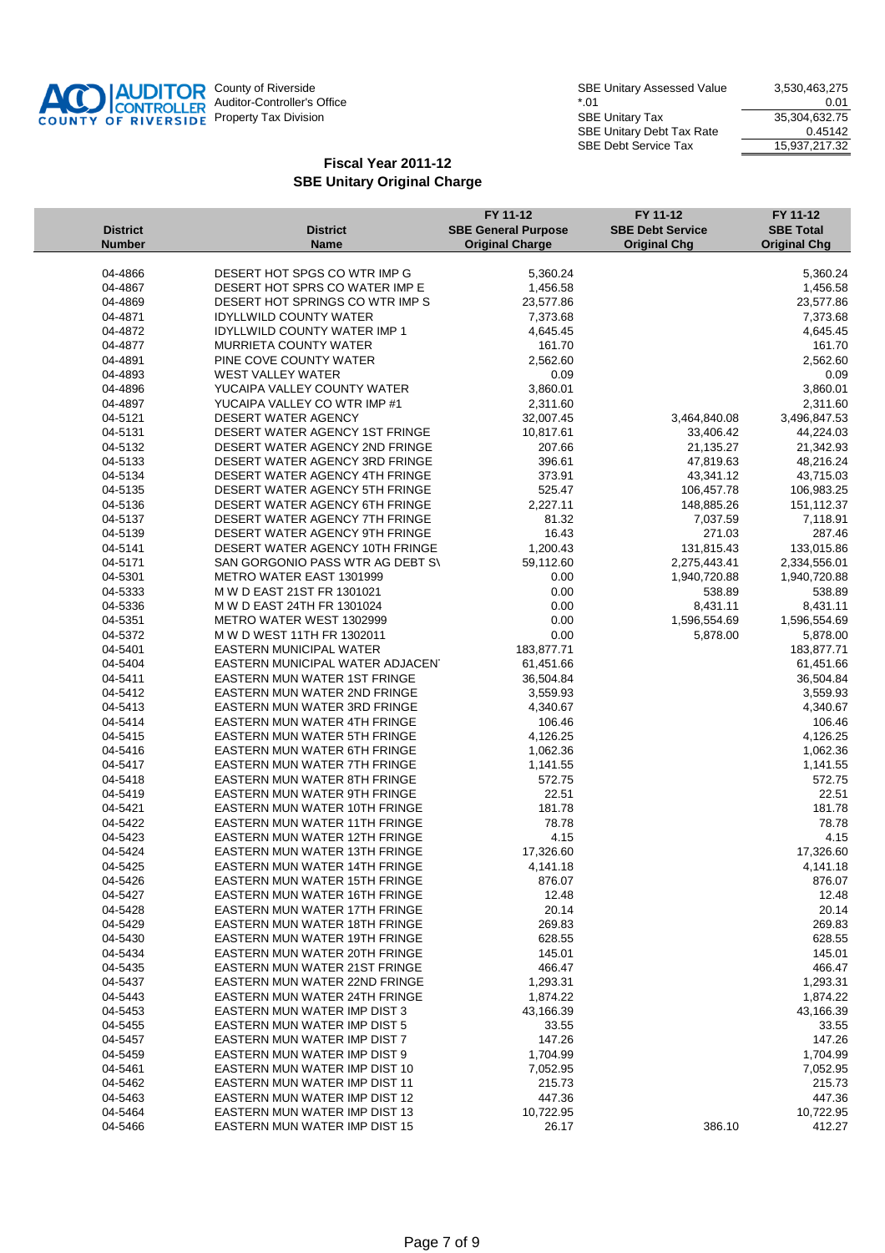

|                    |                                                                    | FY 11-12                   | FY 11-12                | FY 11-12                 |
|--------------------|--------------------------------------------------------------------|----------------------------|-------------------------|--------------------------|
| <b>District</b>    | <b>District</b>                                                    | <b>SBE General Purpose</b> | <b>SBE Debt Service</b> | <b>SBE Total</b>         |
| <b>Number</b>      | <b>Name</b>                                                        | <b>Original Charge</b>     | <b>Original Chg</b>     | <b>Original Chg</b>      |
| 04-4866            | DESERT HOT SPGS CO WTR IMP G                                       | 5,360.24                   |                         | 5,360.24                 |
| 04-4867            | DESERT HOT SPRS CO WATER IMP E                                     | 1,456.58                   |                         | 1,456.58                 |
| 04-4869            | DESERT HOT SPRINGS CO WTR IMP S                                    | 23,577.86                  |                         | 23,577.86                |
| 04-4871            | <b>IDYLLWILD COUNTY WATER</b>                                      | 7,373.68                   |                         | 7,373.68                 |
| 04-4872            | <b>IDYLLWILD COUNTY WATER IMP 1</b>                                | 4,645.45                   |                         | 4,645.45                 |
| 04-4877            | <b>MURRIETA COUNTY WATER</b>                                       | 161.70                     |                         | 161.70                   |
| 04-4891            | PINE COVE COUNTY WATER                                             | 2,562.60                   |                         | 2,562.60                 |
| 04-4893            | <b>WEST VALLEY WATER</b>                                           | 0.09                       |                         | 0.09                     |
| 04-4896            | YUCAIPA VALLEY COUNTY WATER                                        | 3,860.01                   |                         | 3,860.01                 |
| 04-4897            | YUCAIPA VALLEY CO WTR IMP #1                                       | 2,311.60                   |                         | 2,311.60                 |
| 04-5121            | <b>DESERT WATER AGENCY</b>                                         | 32,007.45                  | 3,464,840.08            | 3,496,847.53             |
| 04-5131            | DESERT WATER AGENCY 1ST FRINGE                                     | 10,817.61                  | 33,406.42               | 44,224.03                |
| 04-5132            | DESERT WATER AGENCY 2ND FRINGE                                     | 207.66                     | 21,135.27               | 21,342.93                |
| 04-5133            | DESERT WATER AGENCY 3RD FRINGE                                     | 396.61                     | 47,819.63               | 48,216.24                |
| 04-5134            | DESERT WATER AGENCY 4TH FRINGE                                     | 373.91                     | 43,341.12               | 43,715.03                |
| 04-5135            | DESERT WATER AGENCY 5TH FRINGE                                     | 525.47                     | 106,457.78              | 106,983.25               |
| 04-5136            | DESERT WATER AGENCY 6TH FRINGE                                     | 2,227.11                   | 148,885.26              | 151,112.37               |
| 04-5137            | DESERT WATER AGENCY 7TH FRINGE                                     | 81.32                      | 7,037.59                | 7,118.91                 |
| 04-5139            | DESERT WATER AGENCY 9TH FRINGE                                     | 16.43                      | 271.03                  | 287.46                   |
| 04-5141            | DESERT WATER AGENCY 10TH FRINGE                                    | 1,200.43                   | 131,815.43              | 133,015.86               |
| 04-5171            | SAN GORGONIO PASS WTR AG DEBT S\                                   | 59,112.60                  | 2,275,443.41            | 2,334,556.01             |
| 04-5301            | METRO WATER EAST 1301999                                           | 0.00                       | 1,940,720.88            | 1,940,720.88             |
| 04-5333            | M W D EAST 21ST FR 1301021                                         | 0.00                       | 538.89                  | 538.89                   |
| 04-5336            | M W D EAST 24TH FR 1301024                                         | 0.00                       | 8,431.11                | 8,431.11                 |
| 04-5351            | METRO WATER WEST 1302999                                           | 0.00                       | 1,596,554.69            | 1,596,554.69<br>5,878.00 |
| 04-5372            | M W D WEST 11TH FR 1302011                                         | 0.00                       | 5,878.00                |                          |
| 04-5401<br>04-5404 | <b>EASTERN MUNICIPAL WATER</b><br>EASTERN MUNICIPAL WATER ADJACENT | 183,877.71<br>61,451.66    |                         | 183,877.71<br>61,451.66  |
| 04-5411            | EASTERN MUN WATER 1ST FRINGE                                       | 36,504.84                  |                         | 36,504.84                |
| 04-5412            | EASTERN MUN WATER 2ND FRINGE                                       | 3,559.93                   |                         | 3,559.93                 |
| 04-5413            | EASTERN MUN WATER 3RD FRINGE                                       | 4,340.67                   |                         | 4,340.67                 |
| 04-5414            | EASTERN MUN WATER 4TH FRINGE                                       | 106.46                     |                         | 106.46                   |
| 04-5415            | <b>EASTERN MUN WATER 5TH FRINGE</b>                                | 4,126.25                   |                         | 4,126.25                 |
| 04-5416            | <b>EASTERN MUN WATER 6TH FRINGE</b>                                | 1,062.36                   |                         | 1,062.36                 |
| 04-5417            | EASTERN MUN WATER 7TH FRINGE                                       | 1,141.55                   |                         | 1,141.55                 |
| 04-5418            | <b>EASTERN MUN WATER 8TH FRINGE</b>                                | 572.75                     |                         | 572.75                   |
| 04-5419            | EASTERN MUN WATER 9TH FRINGE                                       | 22.51                      |                         | 22.51                    |
| 04-5421            | <b>EASTERN MUN WATER 10TH FRINGE</b>                               | 181.78                     |                         | 181.78                   |
| 04-5422            | <b>EASTERN MUN WATER 11TH FRINGE</b>                               | 78.78                      |                         | 78.78                    |
| 04-5423            | EASTERN MUN WATER 12TH FRINGE                                      | 4.15                       |                         | 4.15                     |
| 04-5424            | <b>EASTERN MUN WATER 13TH FRINGE</b>                               | 17,326.60                  |                         | 17,326.60                |
| 04-5425            | EASTERN MUN WATER 14TH FRINGE                                      | 4,141.18                   |                         | 4,141.18                 |
| 04-5426            | EASTERN MUN WATER 15TH FRINGE                                      | 876.07                     |                         | 876.07                   |
| 04-5427            | <b>EASTERN MUN WATER 16TH FRINGE</b>                               | 12.48                      |                         | 12.48                    |
| 04-5428            | EASTERN MUN WATER 17TH FRINGE                                      | 20.14                      |                         | 20.14                    |
| 04-5429            | EASTERN MUN WATER 18TH FRINGE                                      | 269.83                     |                         | 269.83                   |
| 04-5430            | EASTERN MUN WATER 19TH FRINGE                                      | 628.55                     |                         | 628.55                   |
| 04-5434            | EASTERN MUN WATER 20TH FRINGE                                      | 145.01                     |                         | 145.01                   |
| 04-5435            | EASTERN MUN WATER 21ST FRINGE                                      | 466.47                     |                         | 466.47                   |
| 04-5437            | EASTERN MUN WATER 22ND FRINGE                                      | 1,293.31                   |                         | 1,293.31                 |
| 04-5443            | <b>EASTERN MUN WATER 24TH FRINGE</b>                               | 1,874.22                   |                         | 1,874.22                 |
| 04-5453            | <b>EASTERN MUN WATER IMP DIST 3</b>                                | 43,166.39                  |                         | 43,166.39                |
| 04-5455            | EASTERN MUN WATER IMP DIST 5                                       | 33.55                      |                         | 33.55                    |
| 04-5457            | EASTERN MUN WATER IMP DIST 7                                       | 147.26                     |                         | 147.26                   |
| 04-5459            | EASTERN MUN WATER IMP DIST 9<br>EASTERN MUN WATER IMP DIST 10      | 1,704.99                   |                         | 1,704.99                 |
| 04-5461            | EASTERN MUN WATER IMP DIST 11                                      | 7,052.95                   |                         | 7,052.95                 |
| 04-5462<br>04-5463 | EASTERN MUN WATER IMP DIST 12                                      | 215.73<br>447.36           |                         | 215.73<br>447.36         |
| 04-5464            | EASTERN MUN WATER IMP DIST 13                                      | 10,722.95                  |                         | 10,722.95                |
| 04-5466            | EASTERN MUN WATER IMP DIST 15                                      | 26.17                      | 386.10                  | 412.27                   |
|                    |                                                                    |                            |                         |                          |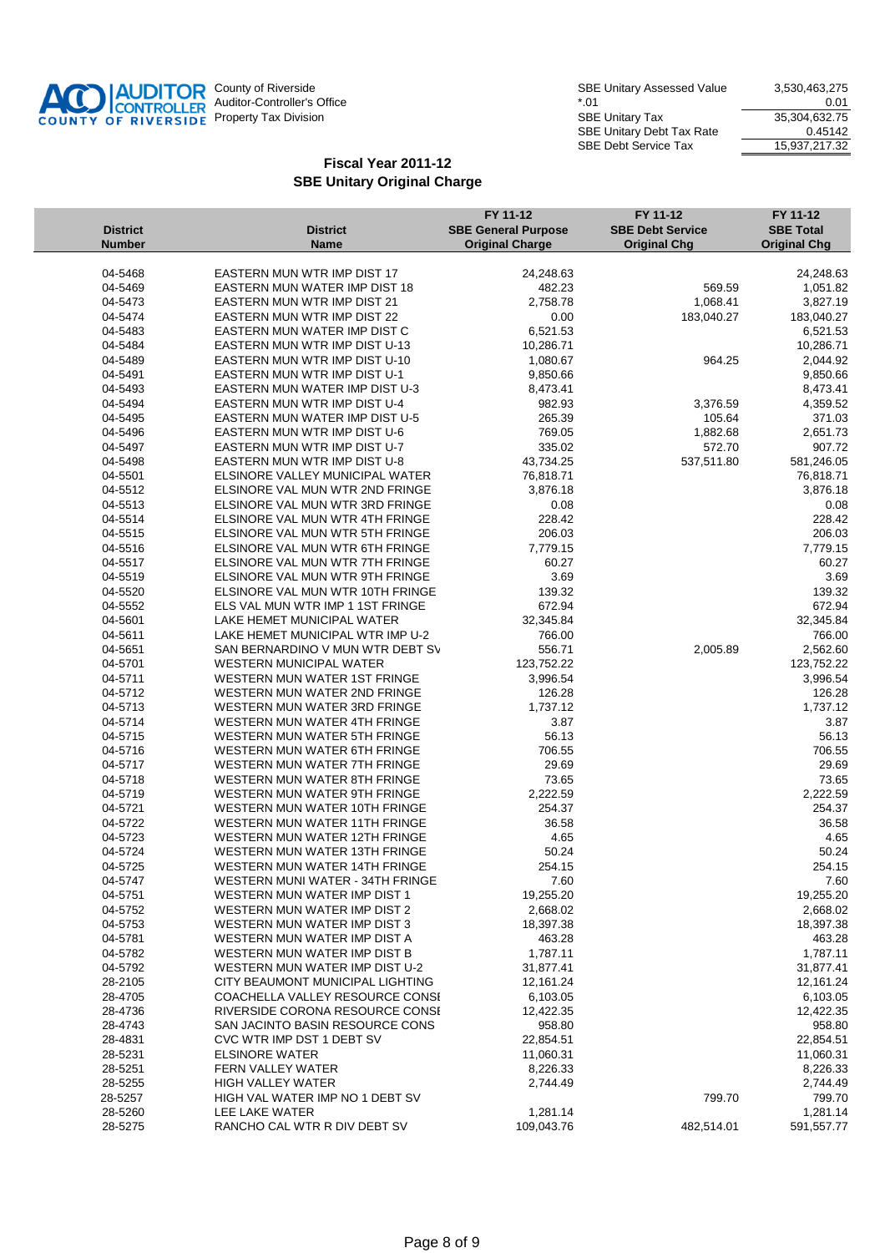

| <b>District</b>        | <b>District</b>                                                  | FY 11-12<br><b>SBE General Purpose</b> | FY 11-12<br><b>SBE Debt Service</b> | FY 11-12<br><b>SBE Total</b> |
|------------------------|------------------------------------------------------------------|----------------------------------------|-------------------------------------|------------------------------|
| <b>Number</b>          | <b>Name</b>                                                      | <b>Original Charge</b>                 | <b>Original Chg</b>                 | <b>Original Chg</b>          |
|                        |                                                                  |                                        |                                     |                              |
| 04-5468<br>04-5469     | EASTERN MUN WTR IMP DIST 17<br>EASTERN MUN WATER IMP DIST 18     | 24,248.63<br>482.23                    | 569.59                              | 24,248.63<br>1,051.82        |
| 04-5473                | <b>EASTERN MUN WTR IMP DIST 21</b>                               | 2,758.78                               | 1,068.41                            | 3,827.19                     |
| 04-5474                | <b>EASTERN MUN WTR IMP DIST 22</b>                               | 0.00                                   | 183,040.27                          | 183,040.27                   |
| 04-5483                | EASTERN MUN WATER IMP DIST C                                     | 6,521.53                               |                                     | 6,521.53                     |
| 04-5484                | EASTERN MUN WTR IMP DIST U-13                                    | 10,286.71                              |                                     | 10,286.71                    |
| 04-5489                | EASTERN MUN WTR IMP DIST U-10                                    | 1,080.67                               | 964.25                              | 2,044.92                     |
| 04-5491                | <b>EASTERN MUN WTR IMP DIST U-1</b>                              | 9,850.66                               |                                     | 9,850.66                     |
| 04-5493                | EASTERN MUN WATER IMP DIST U-3                                   | 8,473.41                               |                                     | 8,473.41                     |
| 04-5494                | EASTERN MUN WTR IMP DIST U-4                                     | 982.93                                 | 3,376.59                            | 4,359.52                     |
| 04-5495                | EASTERN MUN WATER IMP DIST U-5                                   | 265.39                                 | 105.64                              | 371.03                       |
| 04-5496                | EASTERN MUN WTR IMP DIST U-6                                     | 769.05                                 | 1,882.68                            | 2,651.73                     |
| 04-5497                | EASTERN MUN WTR IMP DIST U-7                                     | 335.02                                 | 572.70                              | 907.72                       |
| 04-5498                | EASTERN MUN WTR IMP DIST U-8                                     | 43,734.25                              | 537,511.80                          | 581,246.05                   |
| 04-5501                | ELSINORE VALLEY MUNICIPAL WATER                                  | 76,818.71                              |                                     | 76,818.71                    |
| 04-5512                | ELSINORE VAL MUN WTR 2ND FRINGE                                  | 3,876.18                               |                                     | 3,876.18                     |
| 04-5513                | ELSINORE VAL MUN WTR 3RD FRINGE                                  | 0.08                                   |                                     | 0.08                         |
| 04-5514                | ELSINORE VAL MUN WTR 4TH FRINGE                                  | 228.42                                 |                                     | 228.42                       |
| 04-5515                | ELSINORE VAL MUN WTR 5TH FRINGE                                  | 206.03                                 |                                     | 206.03                       |
| 04-5516                | ELSINORE VAL MUN WTR 6TH FRINGE                                  | 7,779.15                               |                                     | 7,779.15                     |
| 04-5517                | ELSINORE VAL MUN WTR 7TH FRINGE                                  | 60.27                                  |                                     | 60.27                        |
| 04-5519                | ELSINORE VAL MUN WTR 9TH FRINGE                                  | 3.69                                   |                                     | 3.69                         |
| 04-5520                | ELSINORE VAL MUN WTR 10TH FRINGE                                 | 139.32                                 |                                     | 139.32                       |
| 04-5552                | ELS VAL MUN WTR IMP 1 1ST FRINGE                                 | 672.94                                 |                                     | 672.94                       |
| 04-5601                | LAKE HEMET MUNICIPAL WATER                                       | 32,345.84                              |                                     | 32,345.84                    |
| 04-5611                | LAKE HEMET MUNICIPAL WTR IMP U-2                                 | 766.00                                 |                                     | 766.00                       |
| 04-5651                | SAN BERNARDINO V MUN WTR DEBT SV                                 | 556.71                                 | 2,005.89                            | 2,562.60                     |
| 04-5701                | <b>WESTERN MUNICIPAL WATER</b>                                   | 123,752.22                             |                                     | 123,752.22                   |
| 04-5711                | WESTERN MUN WATER 1ST FRINGE                                     | 3,996.54                               |                                     | 3,996.54                     |
| 04-5712                | WESTERN MUN WATER 2ND FRINGE                                     | 126.28                                 |                                     | 126.28                       |
| 04-5713                | WESTERN MUN WATER 3RD FRINGE                                     | 1,737.12                               |                                     | 1,737.12                     |
| 04-5714                | WESTERN MUN WATER 4TH FRINGE                                     | 3.87                                   |                                     | 3.87                         |
| 04-5715                | WESTERN MUN WATER 5TH FRINGE                                     | 56.13                                  |                                     | 56.13                        |
| 04-5716                | WESTERN MUN WATER 6TH FRINGE                                     | 706.55                                 |                                     | 706.55                       |
| 04-5717                | WESTERN MUN WATER 7TH FRINGE                                     | 29.69                                  |                                     | 29.69                        |
| 04-5718                | WESTERN MUN WATER 8TH FRINGE                                     | 73.65                                  |                                     | 73.65                        |
| 04-5719                | WESTERN MUN WATER 9TH FRINGE                                     | 2,222.59                               |                                     | 2,222.59                     |
| 04-5721                | WESTERN MUN WATER 10TH FRINGE<br>WESTERN MUN WATER 11TH FRINGE   | 254.37                                 |                                     | 254.37                       |
| 04-5722<br>04-5723     |                                                                  | 36.58                                  |                                     | 36.58                        |
| 04-5724                | WESTERN MUN WATER 12TH FRINGE<br>WESTERN MUN WATER 13TH FRINGE   | 4.65<br>50.24                          |                                     | 4.65<br>50.24                |
| 04-5725                | WESTERN MUN WATER 14TH FRINGE                                    | 254.15                                 |                                     | 254.15                       |
|                        |                                                                  | 7.60                                   |                                     | 7.60                         |
| $04 - 5747$<br>04-5751 | WESTERN MUNI WATER - 34TH FRINGE<br>WESTERN MUN WATER IMP DIST 1 | 19,255.20                              |                                     | 19,255.20                    |
| 04-5752                | WESTERN MUN WATER IMP DIST 2                                     | 2,668.02                               |                                     | 2,668.02                     |
| 04-5753                | WESTERN MUN WATER IMP DIST 3                                     | 18,397.38                              |                                     | 18,397.38                    |
| 04-5781                | WESTERN MUN WATER IMP DIST A                                     | 463.28                                 |                                     | 463.28                       |
| 04-5782                | WESTERN MUN WATER IMP DIST B                                     | 1,787.11                               |                                     | 1,787.11                     |
| 04-5792                | WESTERN MUN WATER IMP DIST U-2                                   | 31,877.41                              |                                     | 31,877.41                    |
| 28-2105                | CITY BEAUMONT MUNICIPAL LIGHTING                                 | 12,161.24                              |                                     | 12,161.24                    |
| 28-4705                | COACHELLA VALLEY RESOURCE CONSI                                  | 6,103.05                               |                                     | 6,103.05                     |
| 28-4736                | RIVERSIDE CORONA RESOURCE CONSE                                  | 12,422.35                              |                                     | 12,422.35                    |
| 28-4743                | SAN JACINTO BASIN RESOURCE CONS                                  | 958.80                                 |                                     | 958.80                       |
| 28-4831                | CVC WTR IMP DST 1 DEBT SV                                        | 22,854.51                              |                                     | 22,854.51                    |
| 28-5231                | <b>ELSINORE WATER</b>                                            | 11,060.31                              |                                     | 11,060.31                    |
| 28-5251                | FERN VALLEY WATER                                                | 8,226.33                               |                                     | 8,226.33                     |
| 28-5255                | <b>HIGH VALLEY WATER</b>                                         | 2,744.49                               |                                     | 2,744.49                     |
| 28-5257                | HIGH VAL WATER IMP NO 1 DEBT SV                                  |                                        | 799.70                              | 799.70                       |
| 28-5260                | LEE LAKE WATER                                                   | 1,281.14                               |                                     | 1,281.14                     |
| 28-5275                | RANCHO CAL WTR R DIV DEBT SV                                     | 109,043.76                             | 482,514.01                          | 591,557.77                   |